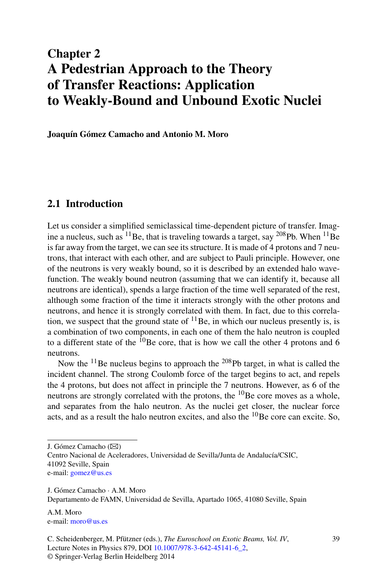# **Chapter 2 A Pedestrian Approach to the Theory of Transfer Reactions: Application to Weakly-Bound and Unbound Exotic Nuclei**

**Joaquín Gómez Camacho and Antonio M. Moro**

# **2.1 Introduction**

Let us consider a simplified semiclassical time-dependent picture of transfer. Imagine a nucleus, such as  $^{11}$ Be, that is traveling towards a target, say  $^{208}$ Pb. When  $^{11}$ Be is far away from the target, we can see its structure. It is made of 4 protons and 7 neutrons, that interact with each other, and are subject to Pauli principle. However, one of the neutrons is very weakly bound, so it is described by an extended halo wavefunction. The weakly bound neutron (assuming that we can identify it, because all neutrons are identical), spends a large fraction of the time well separated of the rest, although some fraction of the time it interacts strongly with the other protons and neutrons, and hence it is strongly correlated with them. In fact, due to this correlation, we suspect that the ground state of  $<sup>11</sup>$ Be, in which our nucleus presently is, is</sup> a combination of two components, in each one of them the halo neutron is coupled to a different state of the  $^{10}$ Be core, that is how we call the other 4 protons and 6 neutrons.

Now the  $11$ Be nucleus begins to approach the  $208$ Pb target, in what is called the incident channel. The strong Coulomb force of the target begins to act, and repels the 4 protons, but does not affect in principle the 7 neutrons. However, as 6 of the neutrons are strongly correlated with the protons, the <sup>10</sup>Be core moves as a whole, and separates from the halo neutron. As the nuclei get closer, the nuclear force acts, and as a result the halo neutron excites, and also the  ${}^{10}$ Be core can excite. So,

J. Gómez Camacho (B)

Centro Nacional de Aceleradores, Universidad de Sevilla/Junta de Andalucía/CSIC, 41092 Seville, Spain e-mail: [gomez@us.es](mailto:gomez@us.es)

J. Gómez Camacho · A.M. Moro Departamento de FAMN, Universidad de Sevilla, Apartado 1065, 41080 Seville, Spain

A.M. Moro e-mail: [moro@us.es](mailto:moro@us.es)

39

C. Scheidenberger, M. Pfützner (eds.), *The Euroschool on Exotic Beams, Vol. IV*, Lecture Notes in Physics 879, DOI [10.1007/978-3-642-45141-6\\_2](http://dx.doi.org/10.1007/978-3-642-45141-6_2), © Springer-Verlag Berlin Heidelberg 2014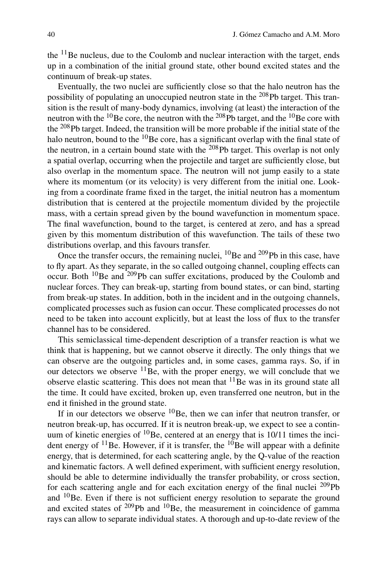the  $11$ Be nucleus, due to the Coulomb and nuclear interaction with the target, ends up in a combination of the initial ground state, other bound excited states and the continuum of break-up states.

Eventually, the two nuclei are sufficiently close so that the halo neutron has the possibility of populating an unoccupied neutron state in the <sup>208</sup>Pb target. This transition is the result of many-body dynamics, involving (at least) the interaction of the neutron with the <sup>10</sup>Be core, the neutron with the <sup>208</sup>Pb target, and the <sup>10</sup>Be core with the <sup>208</sup>Pb target. Indeed, the transition will be more probable if the initial state of the halo neutron, bound to the  $^{10}$ Be core, has a significant overlap with the final state of the neutron, in a certain bound state with the  $^{208}Pb$  target. This overlap is not only a spatial overlap, occurring when the projectile and target are sufficiently close, but also overlap in the momentum space. The neutron will not jump easily to a state where its momentum (or its velocity) is very different from the initial one. Looking from a coordinate frame fixed in the target, the initial neutron has a momentum distribution that is centered at the projectile momentum divided by the projectile mass, with a certain spread given by the bound wavefunction in momentum space. The final wavefunction, bound to the target, is centered at zero, and has a spread given by this momentum distribution of this wavefunction. The tails of these two distributions overlap, and this favours transfer.

Once the transfer occurs, the remaining nuclei,  $^{10}$ Be and  $^{209}$ Pb in this case, have to fly apart. As they separate, in the so called outgoing channel, coupling effects can occur. Both  $^{10}$ Be and  $^{209}$ Pb can suffer excitations, produced by the Coulomb and nuclear forces. They can break-up, starting from bound states, or can bind, starting from break-up states. In addition, both in the incident and in the outgoing channels, complicated processes such as fusion can occur. These complicated processes do not need to be taken into account explicitly, but at least the loss of flux to the transfer channel has to be considered.

This semiclassical time-dependent description of a transfer reaction is what we think that is happening, but we cannot observe it directly. The only things that we can observe are the outgoing particles and, in some cases, gamma rays. So, if in our detectors we observe  $^{11}$ Be, with the proper energy, we will conclude that we observe elastic scattering. This does not mean that  $^{11}$ Be was in its ground state all the time. It could have excited, broken up, even transferred one neutron, but in the end it finished in the ground state.

If in our detectors we observe  $10$ Be, then we can infer that neutron transfer, or neutron break-up, has occurred. If it is neutron break-up, we expect to see a continuum of kinetic energies of  $^{10}$ Be, centered at an energy that is 10/11 times the incident energy of  $11$ Be. However, if it is transfer, the  $10$ Be will appear with a definite energy, that is determined, for each scattering angle, by the Q-value of the reaction and kinematic factors. A well defined experiment, with sufficient energy resolution, should be able to determine individually the transfer probability, or cross section, for each scattering angle and for each excitation energy of the final nuclei  $^{209}Pb$ and  $10$ Be. Even if there is not sufficient energy resolution to separate the ground and excited states of  $209$ Pb and  $10$ Be, the measurement in coincidence of gamma rays can allow to separate individual states. A thorough and up-to-date review of the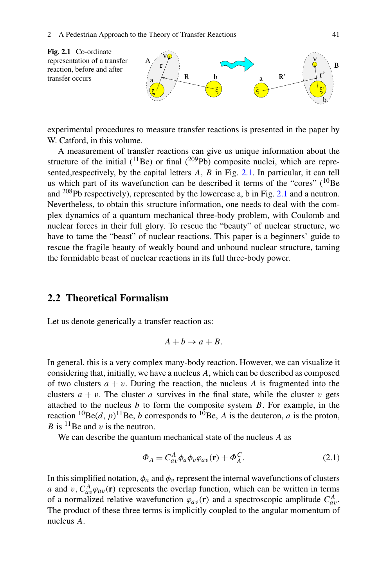<span id="page-2-0"></span>

experimental procedures to measure transfer reactions is presented in the paper by W. Catford, in this volume.

A measurement of transfer reactions can give us unique information about the structure of the initial  $({}^{11}Be)$  or final  $({}^{209}Pb)$  composite nuclei, which are represented,respectively, by the capital letters *A*, *B* in Fig. [2.1](#page-2-0). In particular, it can tell us which part of its wavefunction can be described it terms of the "cores"  $(^{10}Be$ and <sup>208</sup>Pb respectively), represented by the lowercase a, b in Fig. [2.1](#page-2-0) and a neutron. Nevertheless, to obtain this structure information, one needs to deal with the complex dynamics of a quantum mechanical three-body problem, with Coulomb and nuclear forces in their full glory. To rescue the "beauty" of nuclear structure, we have to tame the "beast" of nuclear reactions. This paper is a beginners' guide to rescue the fragile beauty of weakly bound and unbound nuclear structure, taming the formidable beast of nuclear reactions in its full three-body power.

### **2.2 Theoretical Formalism**

Let us denote generically a transfer reaction as:

$$
A + b \to a + B.
$$

In general, this is a very complex many-body reaction. However, we can visualize it considering that, initially, we have a nucleus *A*, which can be described as composed of two clusters  $a + v$ . During the reaction, the nucleus A is fragmented into the clusters  $a + v$ . The cluster *a* survives in the final state, while the cluster *v* gets attached to the nucleus *b* to form the composite system *B*. For example, in the reaction <sup>10</sup>Be(*d*, *p*)<sup>11</sup>Be, *b* corresponds to <sup>10</sup>Be, *A* is the deuteron, *a* is the proton, *B* is <sup>11</sup>Be and *v* is the neutron.

We can describe the quantum mechanical state of the nucleus *A* as

$$
\Phi_A = C_{av}^A \phi_a \phi_v \varphi_{av}(\mathbf{r}) + \Phi_A^C.
$$
\n(2.1)

In this simplified notation,  $\phi_a$  and  $\phi_v$  represent the internal wavefunctions of clusters *a* and *v*,  $C_{av}^{A} \varphi_{av}(\mathbf{r})$  represents the overlap function, which can be written in terms of a normalized relative wavefunction  $\varphi_{av}(\mathbf{r})$  and a spectroscopic amplitude  $C_{av}^{A}$ . The product of these three terms is implicitly coupled to the angular momentum of nucleus *A*.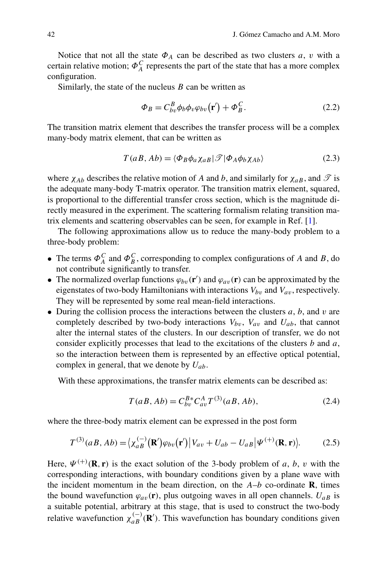Notice that not all the state  $\Phi_A$  can be described as two clusters *a*, *v* with a certain relative motion;  $\Phi_A^C$  represents the part of the state that has a more complex configuration.

Similarly, the state of the nucleus *B* can be written as

$$
\Phi_B = C_{bv}^B \phi_b \phi_v \phi_{bv} (\mathbf{r}') + \Phi_B^C.
$$
\n(2.2)

The transition matrix element that describes the transfer process will be a complex many-body matrix element, that can be written as

$$
T(aB, Ab) = \langle \Phi_B \phi_a \chi_{aB} | \mathcal{T} | \Phi_A \phi_b \chi_{Ab} \rangle
$$
 (2.3)

where  $\chi_{Ab}$  describes the relative motion of *A* and *b*, and similarly for  $\chi_{aB}$ , and  $\mathscr{T}$  is the adequate many-body T-matrix operator. The transition matrix element, squared, is proportional to the differential transfer cross section, which is the magnitude directly measured in the experiment. The scattering formalism relating transition matrix elements and scattering observables can be seen, for example in Ref. [\[1](#page-25-0)].

The following approximations allow us to reduce the many-body problem to a three-body problem:

- The terms  $\Phi_A^C$  and  $\Phi_B^C$ , corresponding to complex configurations of *A* and *B*, do not contribute significantly to transfer.
- The normalized overlap functions  $\varphi_{bv}(\mathbf{r}')$  and  $\varphi_{av}(\mathbf{r})$  can be approximated by the eigenstates of two-body Hamiltonians with interactions  $V_{bv}$  and  $V_{av}$ , respectively. They will be represented by some real mean-field interactions.
- During the collision process the interactions between the clusters *a*, *b*, and *v* are completely described by two-body interactions  $V_{bv}$ ,  $V_{av}$  and  $U_{ab}$ , that cannot alter the internal states of the clusters. In our description of transfer, we do not consider explicitly processes that lead to the excitations of the clusters *b* and *a*, so the interaction between them is represented by an effective optical potential, complex in general, that we denote by *Uab*.

With these approximations, the transfer matrix elements can be described as:

<span id="page-3-0"></span>
$$
T(aB, Ab) = C_{bv}^{B*} C_{av}^{A} T^{(3)}(aB, Ab),
$$
\n(2.4)

where the three-body matrix element can be expressed in the post form

$$
T^{(3)}(aB, Ab) = \left\langle \chi_{a}^{(-)}(\mathbf{R}')\varphi_{bv}(\mathbf{r}') \right| V_{av} + U_{ab} - U_{aB} |\Psi^{(+)}(\mathbf{R}, \mathbf{r})\rangle. \tag{2.5}
$$

Here,  $\Psi^{(+)}(\mathbf{R}, \mathbf{r})$  is the exact solution of the 3-body problem of *a*, *b*, *v* with the corresponding interactions, with boundary conditions given by a plane wave with the incident momentum in the beam direction, on the  $A-b$  co-ordinate **R**, times the bound wavefunction  $\varphi_{av}(\mathbf{r})$ , plus outgoing waves in all open channels.  $U_{aB}$  is a suitable potential, arbitrary at this stage, that is used to construct the two-body relative wavefunction  $\chi_{a}^{(-)}(\mathbf{R}')$ . This wavefunction has boundary conditions given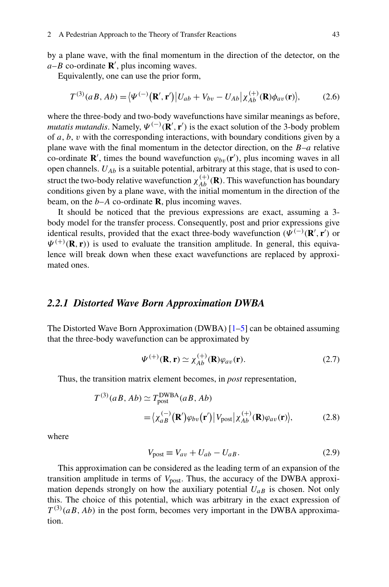by a plane wave, with the final momentum in the direction of the detector, on the *a*–*B* co-ordinate **R** , plus incoming waves.

Equivalently, one can use the prior form,

<span id="page-4-1"></span>
$$
T^{(3)}(aB, Ab) = \langle \Psi^{(-)}(\mathbf{R}', \mathbf{r}') | U_{ab} + V_{bv} - U_{Ab} | \chi^{(+)}_{Ab}(\mathbf{R}) \phi_{av}(\mathbf{r}) \rangle, \tag{2.6}
$$

where the three-body and two-body wavefunctions have similar meanings as before, *mutatis mutandis*. Namely,  $\Psi^{(-)}(\mathbf{R}', \mathbf{r}')$  is the exact solution of the 3-body problem of *a*, *b*, *v* with the corresponding interactions, with boundary conditions given by a plane wave with the final momentum in the detector direction, on the *B*–*a* relative co-ordinate **R**<sup>'</sup>, times the bound wavefunction  $\varphi_{bv}(\mathbf{r}')$ , plus incoming waves in all open channels. *UAb* is a suitable potential, arbitrary at this stage, that is used to construct the two-body relative wavefunction  $\chi_{Ab}^{(+)}(\mathbf{R})$ . This wavefunction has boundary conditions given by a plane wave, with the initial momentum in the direction of the beam, on the *b*–*A* co-ordinate **R**, plus incoming waves.

It should be noticed that the previous expressions are exact, assuming a 3 body model for the transfer process. Consequently, post and prior expressions give identical results, provided that the exact three-body wavefunction  $(\Psi^{(-)}(\mathbf{R}', \mathbf{r}'))$  or  $\Psi^{(+)}(\mathbf{R}, \mathbf{r})$  is used to evaluate the transition amplitude. In general, this equivalence will break down when these exact wavefunctions are replaced by approximated ones.

#### *2.2.1 Distorted Wave Born Approximation DWBA*

The Distorted Wave Born Approximation (DWBA)  $[1-5]$  $[1-5]$  can be obtained assuming that the three-body wavefunction can be approximated by

<span id="page-4-2"></span><span id="page-4-0"></span>
$$
\Psi^{(+)}(\mathbf{R}, \mathbf{r}) \simeq \chi_{Ab}^{(+)}(\mathbf{R}) \varphi_{av}(\mathbf{r}). \tag{2.7}
$$

Thus, the transition matrix element becomes, in *post* representation,

$$
T^{(3)}(aB, Ab) \simeq T_{\text{post}}^{\text{DWBA}}(aB, Ab)
$$
  
=  $\langle \chi_{aB}^{(-)}(\mathbf{R}')\varphi_{bv}(\mathbf{r}') | V_{\text{post}} | \chi_{Ab}^{(+)}(\mathbf{R})\varphi_{av}(\mathbf{r}) \rangle,$  (2.8)

where

$$
V_{\text{post}} \equiv V_{av} + U_{ab} - U_{aB}.\tag{2.9}
$$

This approximation can be considered as the leading term of an expansion of the transition amplitude in terms of  $V_{\text{post}}$ . Thus, the accuracy of the DWBA approximation depends strongly on how the auxiliary potential  $U_{a}$ <sup>B</sup> is chosen. Not only this. The choice of this potential, which was arbitrary in the exact expression of  $T^{(3)}(aB, Ab)$  in the post form, becomes very important in the DWBA approximation.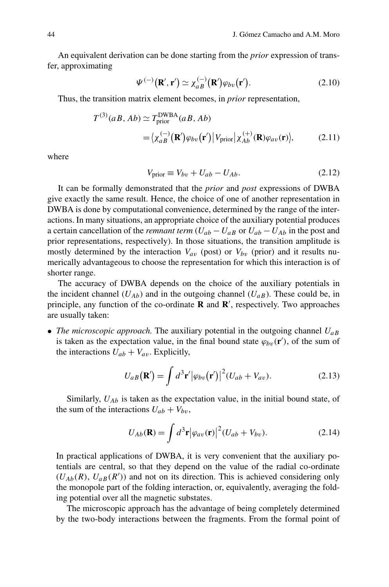An equivalent derivation can be done starting from the *prior* expression of transfer, approximating

<span id="page-5-2"></span><span id="page-5-1"></span>
$$
\Psi^{(-)}(\mathbf{R}', \mathbf{r}') \simeq \chi_{a}^{(-)}(\mathbf{R}') \varphi_{bv}(\mathbf{r}'). \tag{2.10}
$$

Thus, the transition matrix element becomes, in *prior* representation,

$$
T^{(3)}(aB, Ab) \simeq T_{\text{prior}}^{\text{DWBA}}(aB, Ab)
$$
  
=  $\langle \chi_{aB}^{(-)}(\mathbf{R}') \varphi_{bv}(\mathbf{r}') | V_{\text{prior}} | \chi_{Ab}^{(+)}(\mathbf{R}) \varphi_{av}(\mathbf{r}) \rangle,$  (2.11)

where

$$
V_{\text{prior}} \equiv V_{bv} + U_{ab} - U_{Ab}.\tag{2.12}
$$

It can be formally demonstrated that the *prior* and *post* expressions of DWBA give exactly the same result. Hence, the choice of one of another representation in DWBA is done by computational convenience, determined by the range of the interactions. In many situations, an appropriate choice of the auxiliary potential produces a certain cancellation of the *remnant term*  $(U_{ab} - U_{ab})$  or  $U_{ab} - U_{Ab}$  in the post and prior representations, respectively). In those situations, the transition amplitude is mostly determined by the interaction  $V_{av}$  (post) or  $V_{bv}$  (prior) and it results numerically advantageous to choose the representation for which this interaction is of shorter range.

The accuracy of DWBA depends on the choice of the auxiliary potentials in the incident channel  $(U_{Ab})$  and in the outgoing channel  $(U_{AB})$ . These could be, in principle, any function of the co-ordinate **R** and **R** , respectively. Two approaches are usually taken:

• *The microscopic approach.* The auxiliary potential in the outgoing channel *UaB* is taken as the expectation value, in the final bound state  $\varphi_{bv}(\mathbf{r}')$ , of the sum of the interactions  $U_{ab} + V_{av}$ . Explicitly,

<span id="page-5-0"></span>
$$
U_{aB}(\mathbf{R}') = \int d^3 \mathbf{r}' |\varphi_{bv}(\mathbf{r}')|^2 (U_{ab} + V_{av}).
$$
 (2.13)

Similarly, *UAb* is taken as the expectation value, in the initial bound state, of the sum of the interactions  $U_{ab} + V_{bv}$ ,

$$
U_{Ab}(\mathbf{R}) = \int d^3 \mathbf{r} |\varphi_{av}(\mathbf{r})|^2 (U_{ab} + V_{bv}).
$$
 (2.14)

In practical applications of DWBA, it is very convenient that the auxiliary potentials are central, so that they depend on the value of the radial co-ordinate  $(U_{Ab}(R), U_{aB}(R'))$  and not on its direction. This is achieved considering only the monopole part of the folding interaction, or, equivalently, averaging the folding potential over all the magnetic substates.

The microscopic approach has the advantage of being completely determined by the two-body interactions between the fragments. From the formal point of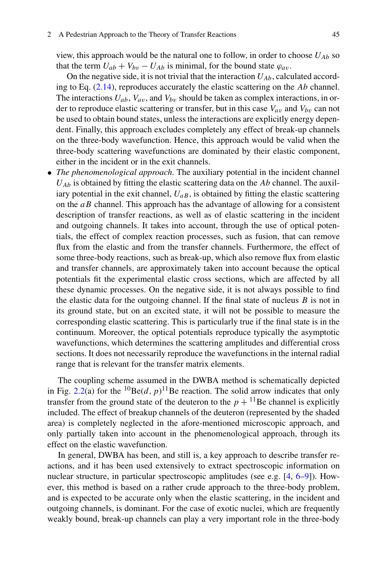view, this approach would be the natural one to follow, in order to choose  $U_{Ab}$  so that the term  $U_{ab} + V_{bv} - U_{Ab}$  is minimal, for the bound state  $\varphi_{av}$ .

On the negative side, it is not trivial that the interaction  $U_{Ab}$ , calculated according to Eq. [\(2.14\)](#page-5-0), reproduces accurately the elastic scattering on the *Ab* channel. The interactions  $U_{ab}$ ,  $V_{av}$ , and  $V_{bv}$  should be taken as complex interactions, in order to reproduce elastic scattering or transfer, but in this case  $V_{av}$  and  $V_{bv}$  can not be used to obtain bound states, unless the interactions are explicitly energy dependent. Finally, this approach excludes completely any effect of break-up channels on the three-body wavefunction. Hence, this approach would be valid when the three-body scattering wavefunctions are dominated by their elastic component, either in the incident or in the exit channels.

• *The phenomenological approach*. The auxiliary potential in the incident channel  $U_{Ab}$  is obtained by fitting the elastic scattering data on the  $Ab$  channel. The auxiliary potential in the exit channel,  $U_{a}$ <sup>B</sup>, is obtained by fitting the elastic scattering on the *aB* channel. This approach has the advantage of allowing for a consistent description of transfer reactions, as well as of elastic scattering in the incident and outgoing channels. It takes into account, through the use of optical potentials, the effect of complex reaction processes, such as fusion, that can remove flux from the elastic and from the transfer channels. Furthermore, the effect of some three-body reactions, such as break-up, which also remove flux from elastic and transfer channels, are approximately taken into account because the optical potentials fit the experimental elastic cross sections, which are affected by all these dynamic processes. On the negative side, it is not always possible to find the elastic data for the outgoing channel. If the final state of nucleus *B* is not in its ground state, but on an excited state, it will not be possible to measure the corresponding elastic scattering. This is particularly true if the final state is in the continuum. Moreover, the optical potentials reproduce typically the asymptotic wavefunctions, which determines the scattering amplitudes and differential cross sections. It does not necessarily reproduce the wavefunctions in the internal radial range that is relevant for the transfer matrix elements.

The coupling scheme assumed in the DWBA method is schematically depicted in Fig. [2.2](#page-7-0)(a) for the <sup>10</sup>Be(*d*,  $p$ )<sup>11</sup>Be reaction. The solid arrow indicates that only transfer from the ground state of the deuteron to the  $p + {}^{11}Be$  channel is explicitly included. The effect of breakup channels of the deuteron (represented by the shaded area) is completely neglected in the afore-mentioned microscopic approach, and only partially taken into account in the phenomenological approach, through its effect on the elastic wavefunction.

In general, DWBA has been, and still is, a key approach to describe transfer reactions, and it has been used extensively to extract spectroscopic information on nuclear structure, in particular spectroscopic amplitudes (see e.g. [[4,](#page-25-2) [6–](#page-25-3)[9\]](#page-25-4)). However, this method is based on a rather crude approach to the three-body problem, and is expected to be accurate only when the elastic scattering, in the incident and outgoing channels, is dominant. For the case of exotic nuclei, which are frequently weakly bound, break-up channels can play a very important role in the three-body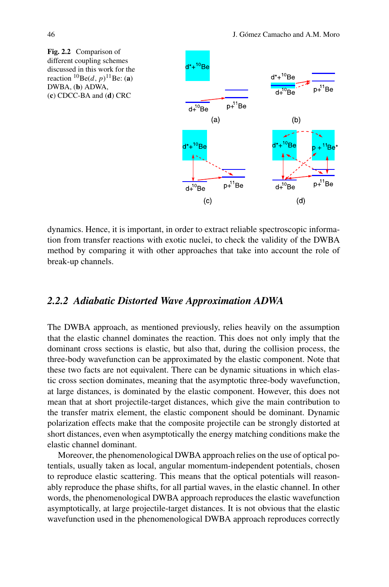<span id="page-7-0"></span>

dynamics. Hence, it is important, in order to extract reliable spectroscopic information from transfer reactions with exotic nuclei, to check the validity of the DWBA method by comparing it with other approaches that take into account the role of break-up channels.

# *2.2.2 Adiabatic Distorted Wave Approximation ADWA*

The DWBA approach, as mentioned previously, relies heavily on the assumption that the elastic channel dominates the reaction. This does not only imply that the dominant cross sections is elastic, but also that, during the collision process, the three-body wavefunction can be approximated by the elastic component. Note that these two facts are not equivalent. There can be dynamic situations in which elastic cross section dominates, meaning that the asymptotic three-body wavefunction, at large distances, is dominated by the elastic component. However, this does not mean that at short projectile-target distances, which give the main contribution to the transfer matrix element, the elastic component should be dominant. Dynamic polarization effects make that the composite projectile can be strongly distorted at short distances, even when asymptotically the energy matching conditions make the elastic channel dominant.

Moreover, the phenomenological DWBA approach relies on the use of optical potentials, usually taken as local, angular momentum-independent potentials, chosen to reproduce elastic scattering. This means that the optical potentials will reasonably reproduce the phase shifts, for all partial waves, in the elastic channel. In other words, the phenomenological DWBA approach reproduces the elastic wavefunction asymptotically, at large projectile-target distances. It is not obvious that the elastic wavefunction used in the phenomenological DWBA approach reproduces correctly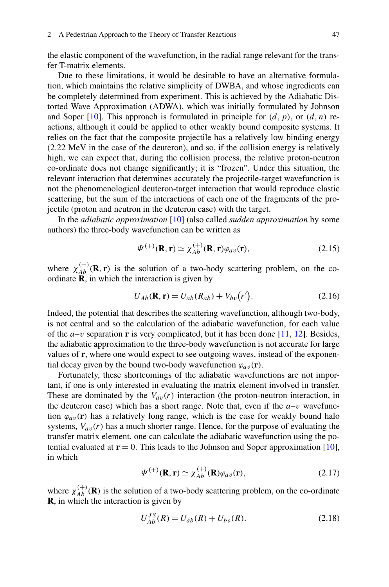the elastic component of the wavefunction, in the radial range relevant for the transfer T-matrix elements.

Due to these limitations, it would be desirable to have an alternative formulation, which maintains the relative simplicity of DWBA, and whose ingredients can be completely determined from experiment. This is achieved by the Adiabatic Distorted Wave Approximation (ADWA), which was initially formulated by Johnson and Soper [[10\]](#page-25-5). This approach is formulated in principle for *(d,p)*, or *(d,n)* reactions, although it could be applied to other weakly bound composite systems. It relies on the fact that the composite projectile has a relatively low binding energy (2.22 MeV in the case of the deuteron), and so, if the collision energy is relatively high, we can expect that, during the collision process, the relative proton-neutron co-ordinate does not change significantly; it is "frozen". Under this situation, the relevant interaction that determines accurately the projectile-target wavefunction is not the phenomenological deuteron-target interaction that would reproduce elastic scattering, but the sum of the interactions of each one of the fragments of the projectile (proton and neutron in the deuteron case) with the target.

In the *adiabatic approximation* [[10\]](#page-25-5) (also called *sudden approximation* by some authors) the three-body wavefunction can be written as

$$
\Psi^{(+)}(\mathbf{R}, \mathbf{r}) \simeq \chi_{Ab}^{(+)}(\mathbf{R}, \mathbf{r}) \varphi_{av}(\mathbf{r}), \tag{2.15}
$$

where  $\chi_{Ab}^{(+)}(\mathbf{R}, \mathbf{r})$  is the solution of a two-body scattering problem, on the coordinate **R**, in which the interaction is given by

$$
U_{Ab}(\mathbf{R}, \mathbf{r}) = U_{ab}(R_{ab}) + V_{bv}(r'). \qquad (2.16)
$$

Indeed, the potential that describes the scattering wavefunction, although two-body, is not central and so the calculation of the adiabatic wavefunction, for each value of the  $a-v$  separation **r** is very complicated, but it has been done [\[11](#page-25-6), [12\]](#page-25-7). Besides, the adiabatic approximation to the three-body wavefunction is not accurate for large values of **r**, where one would expect to see outgoing waves, instead of the exponential decay given by the bound two-body wavefunction  $\varphi_{av}(\mathbf{r})$ .

Fortunately, these shortcomings of the adiabatic wavefunctions are not important, if one is only interested in evaluating the matrix element involved in transfer. These are dominated by the  $V_{av}(r)$  interaction (the proton-neutron interaction, in the deuteron case) which has a short range. Note that, even if the  $a-v$  wavefunction  $\varphi_{av}(\mathbf{r})$  has a relatively long range, which is the case for weakly bound halo systems,  $V_{av}(r)$  has a much shorter range. Hence, for the purpose of evaluating the transfer matrix element, one can calculate the adiabatic wavefunction using the potential evaluated at  $\mathbf{r} = 0$ . This leads to the Johnson and Soper approximation [[10\]](#page-25-5), in which

<span id="page-8-0"></span>
$$
\Psi^{(+)}(\mathbf{R}, \mathbf{r}) \simeq \chi_{Ab}^{(+)}(\mathbf{R}) \varphi_{av}(\mathbf{r}), \tag{2.17}
$$

where  $\chi_{Ab}^{(+)}(\mathbf{R})$  is the solution of a two-body scattering problem, on the co-ordinate **R**, in which the interaction is given by

$$
U_{Ab}^{JS}(R) = U_{ab}(R) + U_{bv}(R). \tag{2.18}
$$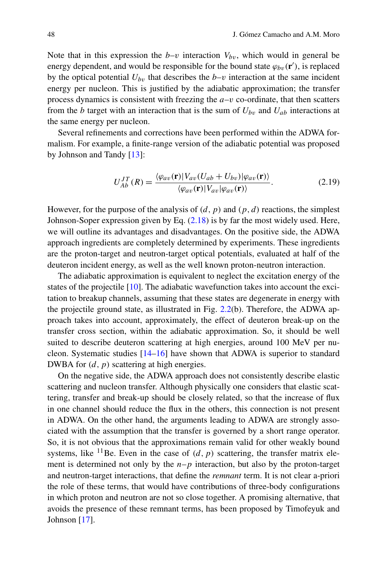Note that in this expression the  $b-v$  interaction  $V_{bv}$ , which would in general be energy dependent, and would be responsible for the bound state  $\varphi_{bv}(\mathbf{r}')$ , is replaced by the optical potential  $U_{bv}$  that describes the  $b-v$  interaction at the same incident energy per nucleon. This is justified by the adiabatic approximation; the transfer process dynamics is consistent with freezing the  $a-v$  co-ordinate, that then scatters from the *b* target with an interaction that is the sum of  $U_{hv}$  and  $U_{ab}$  interactions at the same energy per nucleon.

Several refinements and corrections have been performed within the ADWA formalism. For example, a finite-range version of the adiabatic potential was proposed by Johnson and Tandy [[13\]](#page-25-8):

$$
U_{Ab}^{JT}(R) = \frac{\langle \varphi_{av}(\mathbf{r}) | V_{av}(U_{ab} + U_{bv}) | \varphi_{av}(\mathbf{r}) \rangle}{\langle \varphi_{av}(\mathbf{r}) | V_{av} | \varphi_{av}(\mathbf{r}) \rangle}.
$$
(2.19)

However, for the purpose of the analysis of  $(d, p)$  and  $(p, d)$  reactions, the simplest Johnson-Soper expression given by Eq.  $(2.18)$  is by far the most widely used. Here, we will outline its advantages and disadvantages. On the positive side, the ADWA approach ingredients are completely determined by experiments. These ingredients are the proton-target and neutron-target optical potentials, evaluated at half of the deuteron incident energy, as well as the well known proton-neutron interaction.

The adiabatic approximation is equivalent to neglect the excitation energy of the states of the projectile [[10\]](#page-25-5). The adiabatic wavefunction takes into account the excitation to breakup channels, assuming that these states are degenerate in energy with the projectile ground state, as illustrated in Fig. [2.2](#page-7-0)(b). Therefore, the ADWA approach takes into account, approximately, the effect of deuteron break-up on the transfer cross section, within the adiabatic approximation. So, it should be well suited to describe deuteron scattering at high energies, around 100 MeV per nucleon. Systematic studies [\[14](#page-25-9)[–16](#page-25-10)] have shown that ADWA is superior to standard DWBA for  $(d, p)$  scattering at high energies.

On the negative side, the ADWA approach does not consistently describe elastic scattering and nucleon transfer. Although physically one considers that elastic scattering, transfer and break-up should be closely related, so that the increase of flux in one channel should reduce the flux in the others, this connection is not present in ADWA. On the other hand, the arguments leading to ADWA are strongly associated with the assumption that the transfer is governed by a short range operator. So, it is not obvious that the approximations remain valid for other weakly bound systems, like  $1^1$ Be. Even in the case of  $(d, p)$  scattering, the transfer matrix element is determined not only by the  $n-p$  interaction, but also by the proton-target and neutron-target interactions, that define the *remnant* term. It is not clear a-priori the role of these terms, that would have contributions of three-body configurations in which proton and neutron are not so close together. A promising alternative, that avoids the presence of these remnant terms, has been proposed by Timofeyuk and Johnson [\[17](#page-25-11)].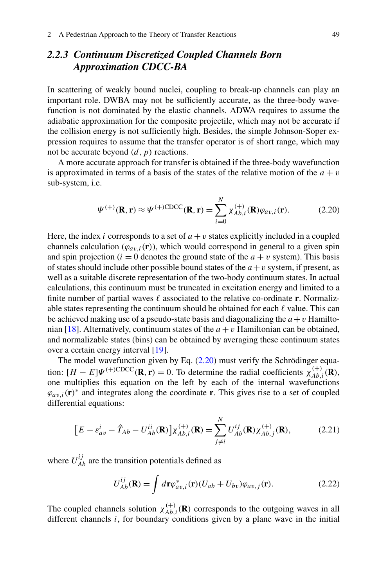# <span id="page-10-2"></span>*2.2.3 Continuum Discretized Coupled Channels Born Approximation CDCC-BA*

In scattering of weakly bound nuclei, coupling to break-up channels can play an important role. DWBA may not be sufficiently accurate, as the three-body wavefunction is not dominated by the elastic channels. ADWA requires to assume the adiabatic approximation for the composite projectile, which may not be accurate if the collision energy is not sufficiently high. Besides, the simple Johnson-Soper expression requires to assume that the transfer operator is of short range, which may not be accurate beyond *(d,p)* reactions.

A more accurate approach for transfer is obtained if the three-body wavefunction is approximated in terms of a basis of the states of the relative motion of the  $a + v$ sub-system, i.e.

<span id="page-10-0"></span>
$$
\Psi^{(+)}(\mathbf{R}, \mathbf{r}) \approx \Psi^{(+) \text{CDCC}}(\mathbf{R}, \mathbf{r}) = \sum_{i=0}^{N} \chi^{(+)}_{Ab,i}(\mathbf{R}) \varphi_{av,i}(\mathbf{r}).
$$
 (2.20)

Here, the index *i* corresponds to a set of  $a + v$  states explicitly included in a coupled channels calculation ( $\varphi_{av,i}(\mathbf{r})$ ), which would correspond in general to a given spin and spin projection ( $i = 0$  denotes the ground state of the  $a + v$  system). This basis of states should include other possible bound states of the *a*+*v* system, if present, as well as a suitable discrete representation of the two-body continuum states. In actual calculations, this continuum must be truncated in excitation energy and limited to a finite number of partial waves  $\ell$  associated to the relative co-ordinate **r**. Normalizable states representing the continuum should be obtained for each  $\ell$  value. This can be achieved making use of a pseudo-state basis and diagonalizing the  $a + v$  Hamilto-nian [[18](#page-25-12)]. Alternatively, continuum states of the  $a + v$  Hamiltonian can be obtained, and normalizable states (bins) can be obtained by averaging these continuum states over a certain energy interval [[19\]](#page-25-13).

The model wavefunction given by Eq.  $(2.20)$  $(2.20)$  $(2.20)$  must verify the Schrödinger equation:  $[H - E]\Psi^{(+) \text{CDCC}}(\mathbf{R}, \mathbf{r}) = 0$ . To determine the radial coefficients  $\chi^{(+)}_{Ab,i}(\mathbf{R})$ , one multiplies this equation on the left by each of the internal wavefunctions  $\varphi_{av,i}(\mathbf{r})^*$  and integrates along the coordinate **r**. This gives rise to a set of coupled differential equations:

$$
\left[E - \varepsilon_{av}^{i} - \hat{T}_{Ab} - U_{Ab}^{ii}(\mathbf{R})\right] \chi_{Ab,i}^{(+)}(\mathbf{R}) = \sum_{j \neq i}^{N} U_{Ab}^{ij}(\mathbf{R}) \chi_{Ab,j}^{(+)}(\mathbf{R}),\tag{2.21}
$$

where  $U_{Ab}^{ij}$  are the transition potentials defined as

<span id="page-10-1"></span>
$$
U_{Ab}^{ij}(\mathbf{R}) = \int d\mathbf{r} \varphi_{av,i}^*(\mathbf{r}) (U_{ab} + U_{bv}) \varphi_{av,j}(\mathbf{r}).
$$
 (2.22)

The coupled channels solution  $\chi^{(+)}_{Ab,i}(\mathbf{R})$  corresponds to the outgoing waves in all different channels *i*, for boundary conditions given by a plane wave in the initial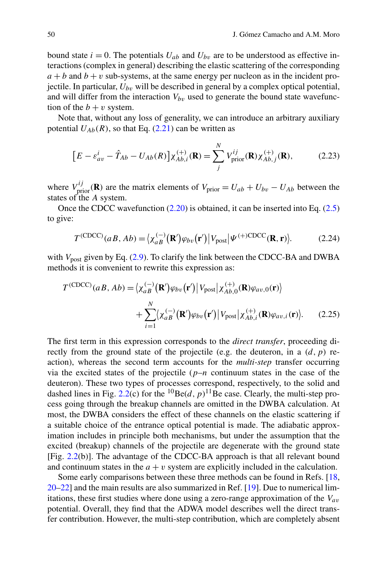bound state  $i = 0$ . The potentials  $U_{ab}$  and  $U_{bv}$  are to be understood as effective interactions (complex in general) describing the elastic scattering of the corresponding  $a + b$  and  $b + v$  sub-systems, at the same energy per nucleon as in the incident projectile. In particular, *Ubv* will be described in general by a complex optical potential, and will differ from the interaction  $V_{bv}$  used to generate the bound state wavefunction of the  $b + v$  system.

Note that, without any loss of generality, we can introduce an arbitrary auxiliary potential  $U_{Ab}(R)$ , so that Eq. [\(2.21\)](#page-10-1) can be written as

$$
\left[E - \varepsilon_{av}^{i} - \hat{T}_{Ab} - U_{Ab}(R)\right] \chi_{Ab,i}^{(+)}(\mathbf{R}) = \sum_{j}^{N} V_{\text{prior}}^{ij}(\mathbf{R}) \chi_{Ab,j}^{(+)}(\mathbf{R}),\tag{2.23}
$$

where  $V_{\text{prior}}^{ij}(\mathbf{R})$  are the matrix elements of  $V_{\text{prior}} = U_{ab} + U_{bv} - U_{Ab}$  between the states of the *A* system.

Once the CDCC wavefunction  $(2.20)$  is obtained, it can be inserted into Eq.  $(2.5)$  $(2.5)$  $(2.5)$ to give:

$$
T^{(\text{CDCC})}(aB, Ab) = \left(\chi_{aB}^{(-)}(\mathbf{R}')\varphi_{bv}(\mathbf{r}')\right)V_{\text{post}}|\Psi^{(+)\text{CDCC}}(\mathbf{R}, \mathbf{r})\rangle. \tag{2.24}
$$

with *V*<sub>post</sub> given by Eq. [\(2.9\)](#page-4-0). To clarify the link between the CDCC-BA and DWBA methods it is convenient to rewrite this expression as:

$$
T^{(\text{CDCC})}(aB, Ab) = \langle \chi_{aB}^{(-)}(\mathbf{R}')\varphi_{bv}(\mathbf{r}') | V_{\text{post}} | \chi_{Ab,0}^{(+)}(\mathbf{R})\varphi_{av,0}(\mathbf{r}) \rangle + \sum_{i=1}^{N} \langle \chi_{aB}^{(-)}(\mathbf{R}')\varphi_{bv}(\mathbf{r}') | V_{\text{post}} | \chi_{Ab,i}^{(+)}(\mathbf{R})\varphi_{av,i}(\mathbf{r}) \rangle.
$$
 (2.25)

The first term in this expression corresponds to the *direct transfer*, proceeding directly from the ground state of the projectile (e.g. the deuteron, in a  $(d, p)$  reaction), whereas the second term accounts for the *multi-step* transfer occurring via the excited states of the projectile (*p*–*n* continuum states in the case of the deuteron). These two types of processes correspond, respectively, to the solid and dashed lines in Fig. [2.2\(](#page-7-0)c) for the <sup>10</sup>Be(*d*,  $p$ )<sup>11</sup>Be case. Clearly, the multi-step process going through the breakup channels are omitted in the DWBA calculation. At most, the DWBA considers the effect of these channels on the elastic scattering if a suitable choice of the entrance optical potential is made. The adiabatic approximation includes in principle both mechanisms, but under the assumption that the excited (breakup) channels of the projectile are degenerate with the ground state [Fig. [2.2\(](#page-7-0)b)]. The advantage of the CDCC-BA approach is that all relevant bound and continuum states in the  $a + v$  system are explicitly included in the calculation.

Some early comparisons between these three methods can be found in Refs. [\[18,](#page-25-12) [20–](#page-25-14)[22\]](#page-25-15) and the main results are also summarized in Ref. [\[19](#page-25-13)]. Due to numerical limitations, these first studies where done using a zero-range approximation of the *Vav* potential. Overall, they find that the ADWA model describes well the direct transfer contribution. However, the multi-step contribution, which are completely absent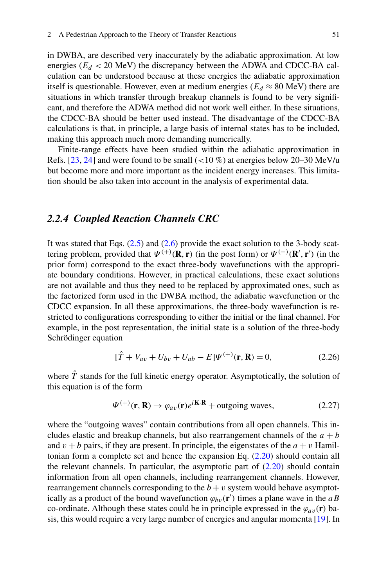in DWBA, are described very inaccurately by the adiabatic approximation. At low energies ( $E_d$  < 20 MeV) the discrepancy between the ADWA and CDCC-BA calculation can be understood because at these energies the adiabatic approximation itself is questionable. However, even at medium energies ( $E_d \approx 80$  MeV) there are situations in which transfer through breakup channels is found to be very significant, and therefore the ADWA method did not work well either. In these situations, the CDCC-BA should be better used instead. The disadvantage of the CDCC-BA calculations is that, in principle, a large basis of internal states has to be included, making this approach much more demanding numerically.

Finite-range effects have been studied within the adiabatic approximation in Refs. [\[23](#page-25-16), [24](#page-26-0)] and were found to be small (*<*10 %) at energies below 20–30 MeV/u but become more and more important as the incident energy increases. This limitation should be also taken into account in the analysis of experimental data.

### *2.2.4 Coupled Reaction Channels CRC*

It was stated that Eqs.  $(2.5)$  and  $(2.6)$  provide the exact solution to the 3-body scattering problem, provided that  $\Psi^{(+)}(\mathbf{R}, \mathbf{r})$  (in the post form) or  $\Psi^{(-)}(\mathbf{R}', \mathbf{r}')$  (in the prior form) correspond to the exact three-body wavefunctions with the appropriate boundary conditions. However, in practical calculations, these exact solutions are not available and thus they need to be replaced by approximated ones, such as the factorized form used in the DWBA method, the adiabatic wavefunction or the CDCC expansion. In all these approximations, the three-body wavefunction is restricted to configurations corresponding to either the initial or the final channel. For example, in the post representation, the initial state is a solution of the three-body Schrödinger equation

<span id="page-12-0"></span>
$$
[\hat{T} + V_{av} + U_{bv} + U_{ab} - E]\Psi^{(+)}(\mathbf{r}, \mathbf{R}) = 0, \qquad (2.26)
$$

where  $\hat{T}$  stands for the full kinetic energy operator. Asymptotically, the solution of this equation is of the form

$$
\Psi^{(+)}(\mathbf{r}, \mathbf{R}) \to \varphi_{av}(\mathbf{r}) e^{i\mathbf{K} \cdot \mathbf{R}} + \text{outgoing waves}, \tag{2.27}
$$

where the "outgoing waves" contain contributions from all open channels. This includes elastic and breakup channels, but also rearrangement channels of the  $a + b$ and  $v + b$  pairs, if they are present. In principle, the eigenstates of the  $a + v$  Hamiltonian form a complete set and hence the expansion Eq. [\(2.20\)](#page-10-0) should contain all the relevant channels. In particular, the asymptotic part of [\(2.20\)](#page-10-0) should contain information from all open channels, including rearrangement channels. However, rearrangement channels corresponding to the  $b + v$  system would behave asymptotically as a product of the bound wavefunction  $\varphi_{bv}(\mathbf{r}')$  times a plane wave in the *aB* co-ordinate. Although these states could be in principle expressed in the  $\varphi_{av}(\mathbf{r})$  basis, this would require a very large number of energies and angular momenta [\[19](#page-25-13)]. In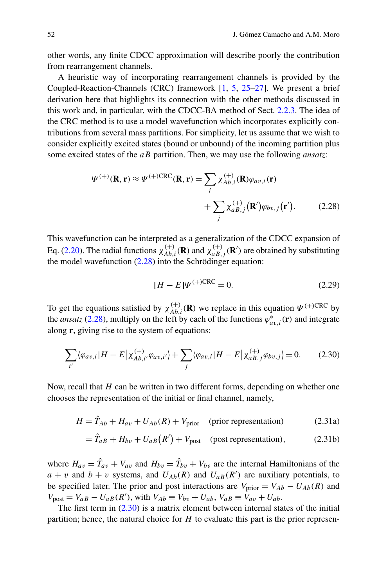other words, any finite CDCC approximation will describe poorly the contribution from rearrangement channels.

A heuristic way of incorporating rearrangement channels is provided by the Coupled-Reaction-Channels (CRC) framework [[1,](#page-25-0) [5,](#page-25-1) [25](#page-26-1)[–27](#page-26-2)]. We present a brief derivation here that highlights its connection with the other methods discussed in this work and, in particular, with the CDCC-BA method of Sect. [2.2.3.](#page-10-2) The idea of the CRC method is to use a model wavefunction which incorporates explicitly contributions from several mass partitions. For simplicity, let us assume that we wish to consider explicitly excited states (bound or unbound) of the incoming partition plus some excited states of the *aB* partition. Then, we may use the following *ansatz*:

<span id="page-13-0"></span>
$$
\Psi^{(+)}(\mathbf{R}, \mathbf{r}) \approx \Psi^{(+) \text{CRC}}(\mathbf{R}, \mathbf{r}) = \sum_{i} \chi^{(+)}_{Ab,i}(\mathbf{R}) \varphi_{av,i}(\mathbf{r}) + \sum_{j} \chi^{(+)}_{aB,j}(\mathbf{R}') \varphi_{bv,j}(\mathbf{r}').
$$
 (2.28)

This wavefunction can be interpreted as a generalization of the CDCC expansion of Eq. ([2.20](#page-10-0)). The radial functions  $\chi_{Ab,i}^{(+)}(\mathbf{R})$  and  $\chi_{aB,j}^{(+)}(\mathbf{R}')$  are obtained by substituting the model wavefunction  $(2.28)$  into the Schrödinger equation:

<span id="page-13-1"></span>
$$
[H - E]\Psi^{(+) \text{CRC}} = 0. \tag{2.29}
$$

To get the equations satisfied by  $\chi_{Ab,i}^{(+)}(\mathbf{R})$  we replace in this equation  $\psi^{(+)CRC}$  by the *ansatz* [\(2.28\)](#page-13-0), multiply on the left by each of the functions  $\varphi_{av,i}^*(\mathbf{r})$  and integrate along **r**, giving rise to the system of equations:

$$
\sum_{i'} \langle \varphi_{av,i} | H - E | \chi_{Ab,i'}^{(+)} \varphi_{av,i'} \rangle + \sum_{j} \langle \varphi_{av,i} | H - E | \chi_{aB,j}^{(+)} \varphi_{bv,j} \rangle = 0. \tag{2.30}
$$

Now, recall that *H* can be written in two different forms, depending on whether one chooses the representation of the initial or final channel, namely,

$$
H = \hat{T}_{Ab} + H_{av} + U_{Ab}(R) + V_{prior}
$$
 (prior representation) (2.31a)

$$
= \hat{T}_{aB} + H_{bv} + U_{aB}(R') + V_{\text{post}} \quad \text{(post representation)}, \tag{2.31b}
$$

where  $H_{av} = \hat{T}_{av} + V_{av}$  and  $H_{bv} = \hat{T}_{bv} + V_{bv}$  are the internal Hamiltonians of the  $a + v$  and  $b + v$  systems, and  $U_{Ab}(R)$  and  $U_{aB}(R')$  are auxiliary potentials, to be specified later. The prior and post interactions are  $V_{\text{prior}} = V_{Ab} - U_{Ab}(R)$  and  $V_{\text{post}} = V_{aB} - U_{aB}(R')$ , with  $V_{Ab} \equiv V_{bv} + U_{ab}$ ,  $V_{aB} \equiv V_{av} + U_{ab}$ .

The first term in  $(2.30)$  $(2.30)$  $(2.30)$  is a matrix element between internal states of the initial partition; hence, the natural choice for *H* to evaluate this part is the prior represen-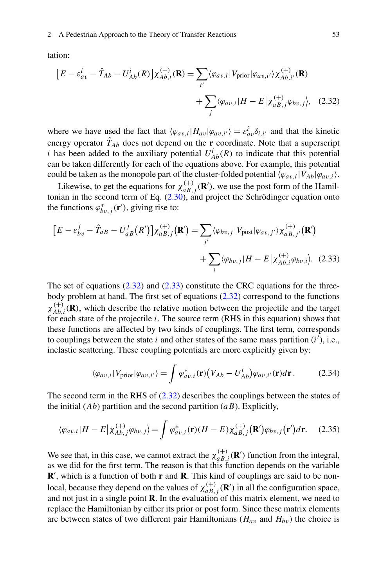#### 2 A Pedestrian Approach to the Theory of Transfer Reactions 53

tation:

<span id="page-14-0"></span>
$$
\left[E - \varepsilon_{av}^{i} - \hat{T}_{Ab} - U_{Ab}^{i}(R)\right] \chi_{Ab,i}^{(+)}(\mathbf{R}) = \sum_{i'} \langle \varphi_{av,i} | V_{\text{prior}} | \varphi_{av,i'} \rangle \chi_{Ab,i'}^{(+)}(\mathbf{R}) + \sum_{j} \langle \varphi_{av,i} | H - E | \chi_{aB,j}^{(+)} \varphi_{bv,j} \rangle, \quad (2.32)
$$

where we have used the fact that  $\langle \varphi_{av,i}|H_{av}|\varphi_{av,i'}\rangle = \varepsilon_{av}^i \delta_{i,i'}$  and that the kinetic energy operator  $\hat{T}_{Ab}$  does not depend on the **r** coordinate. Note that a superscript *i* has been added to the auxiliary potential  $U_{Ab}^{i}(R)$  to indicate that this potential can be taken differently for each of the equations above. For example, this potential could be taken as the monopole part of the cluster-folded potential  $\langle \varphi_{av,i} | V_{Ab} | \varphi_{av,i} \rangle$ .

Likewise, to get the equations for  $\chi_{aB,j}^{(+)}(\mathbf{R}')$ , we use the post form of the Hamiltonian in the second term of Eq.  $(2.30)$  $(2.30)$  $(2.30)$ , and project the Schrödinger equation onto the functions  $\varphi_{bv,j}^*(\mathbf{r}')$ , giving rise to:

<span id="page-14-1"></span>
$$
\left[E - \varepsilon_{bv}^j - \hat{T}_{aB} - U_{aB}^j(R')\right] \chi_{aB,j}^{(+)}(\mathbf{R}') = \sum_{j'} \langle \varphi_{bv,j} | V_{\text{post}} | \varphi_{av,j'} \rangle \chi_{aB,j'}^{(+)}(\mathbf{R}')
$$

$$
+ \sum_{i} \langle \varphi_{bv,j} | H - E | \chi_{Ab,i}^{(+)} \varphi_{bv,i} \rangle. \tag{2.33}
$$

The set of equations  $(2.32)$  and  $(2.33)$  constitute the CRC equations for the threebody problem at hand. The first set of equations [\(2.32\)](#page-14-0) correspond to the functions  $\chi^{(+)}_{Ab,i}(\mathbf{R})$ , which describe the relative motion between the projectile and the target for each state of the projectile *i*. The source term (RHS in this equation) shows that these functions are affected by two kinds of couplings. The first term, corresponds to couplings between the state  $i$  and other states of the same mass partition  $(i')$ , i.e., inelastic scattering. These coupling potentials are more explicitly given by:

$$
\langle \varphi_{av,i} | V_{\text{prior}} | \varphi_{av,i'} \rangle = \int \varphi_{av,i}^*(\mathbf{r}) \big( V_{Ab} - U_{Ab}^i \big) \varphi_{av,i'}(\mathbf{r}) d\mathbf{r} \,. \tag{2.34}
$$

The second term in the RHS of ([2.32\)](#page-14-0) describes the couplings between the states of the initial (*Ab*) partition and the second partition (*aB*). Explicitly,

$$
\langle \varphi_{av,i} | H - E | \chi_{Ab,j}^{(+)} \varphi_{bv,j} \rangle = \int \varphi_{av,i}^{*}(\mathbf{r}) (H - E) \chi_{aB,j}^{(+)}(\mathbf{R}') \varphi_{bv,j}(\mathbf{r}') d\mathbf{r}.
$$
 (2.35)

We see that, in this case, we cannot extract the  $\chi_{aB,i}^{(+)}(\mathbf{R}')$  function from the integral, as we did for the first term. The reason is that this function depends on the variable **R** , which is a function of both **r** and **R**. This kind of couplings are said to be nonlocal, because they depend on the values of  $\chi_{aB,j}^{(+)}(\mathbf{R}')$  in all the configuration space, and not just in a single point **R**. In the evaluation of this matrix element, we need to replace the Hamiltonian by either its prior or post form. Since these matrix elements are between states of two different pair Hamiltonians  $(H_{av}$  and  $H_{bv})$  the choice is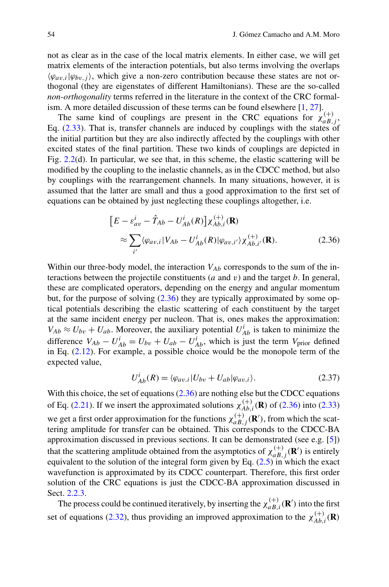not as clear as in the case of the local matrix elements. In either case, we will get matrix elements of the interaction potentials, but also terms involving the overlaps  $\langle \varphi_{av,i} | \varphi_{bv,j} \rangle$ , which give a non-zero contribution because these states are not orthogonal (they are eigenstates of different Hamiltonians). These are the so-called *non-orthogonality* terms referred in the literature in the context of the CRC formalism. A more detailed discussion of these terms can be found elsewhere [[1,](#page-25-0) [27\]](#page-26-2).

The same kind of couplings are present in the CRC equations for  $\chi_{aB,j}^{(+)}$ , Eq. [\(2.33\)](#page-14-1). That is, transfer channels are induced by couplings with the states of the initial partition but they are also indirectly affected by the couplings with other excited states of the final partition. These two kinds of couplings are depicted in Fig. [2.2](#page-7-0)(d). In particular, we see that, in this scheme, the elastic scattering will be modified by the coupling to the inelastic channels, as in the CDCC method, but also by couplings with the rearrangement channels. In many situations, however, it is assumed that the latter are small and thus a good approximation to the first set of equations can be obtained by just neglecting these couplings altogether, i.e.

<span id="page-15-0"></span>
$$
\left[E - \varepsilon_{av}^{i} - \hat{T}_{Ab} - U_{Ab}^{i}(R)\right] \chi_{Ab,i}^{(+)}(\mathbf{R})
$$
\n
$$
\approx \sum_{i'} \langle \varphi_{av,i} | V_{Ab} - U_{Ab}^{i}(R) | \varphi_{av,i'} \rangle \chi_{Ab,i'}^{(+)}(\mathbf{R}). \tag{2.36}
$$

Within our three-body model, the interaction  $V_{Ab}$  corresponds to the sum of the interactions between the projectile constituents (*a* and *v*) and the target *b*. In general, these are complicated operators, depending on the energy and angular momentum but, for the purpose of solving  $(2.36)$  $(2.36)$  $(2.36)$  they are typically approximated by some optical potentials describing the elastic scattering of each constituent by the target at the same incident energy per nucleon. That is, ones makes the approximation:  $V_{Ab} \approx U_{bv} + U_{ab}$ . Moreover, the auxiliary potential  $U_{Ab}^i$  is taken to minimize the difference  $V_{Ab} - U_{Ab}^i = U_{bv} + U_{ab} - U_{Ab}^i$ , which is just the term  $V_{prior}$  defined in Eq. ([2.12](#page-5-1)). For example, a possible choice would be the monopole term of the expected value,

$$
U_{Ab}^{i}(R) = \langle \varphi_{av,i} | U_{bv} + U_{ab} | \varphi_{av,i} \rangle.
$$
 (2.37)

With this choice, the set of equations  $(2.36)$  $(2.36)$  $(2.36)$  are nothing else but the CDCC equations of Eq. ([2.21](#page-10-1)). If we insert the approximated solutions  $\chi_{Ab,i}^{(+)}(\mathbf{R})$  of [\(2.36\)](#page-15-0) into ([2.33](#page-14-1)) we get a first order approximation for the functions  $\chi_{aB,j}^{(+)}(\mathbf{R}')$ , from which the scattering amplitude for transfer can be obtained. This corresponds to the CDCC-BA approximation discussed in previous sections. It can be demonstrated (see e.g. [[5\]](#page-25-1)) that the scattering amplitude obtained from the asymptotics of  $\chi_{aB,j}^{(+)}(\mathbf{R}')$  is entirely equivalent to the solution of the integral form given by Eq.  $(2.5)$  in which the exact wavefunction is approximated by its CDCC counterpart. Therefore, this first order solution of the CRC equations is just the CDCC-BA approximation discussed in Sect. [2.2.3.](#page-10-2)

The process could be continued iteratively, by inserting the  $\chi_{aB,i}^{(+)}(\mathbf{R}')$  into the first set of equations [\(2.32\)](#page-14-0), thus providing an improved approximation to the  $\chi^{(+)}_{Ab,i}(\mathbf{R})$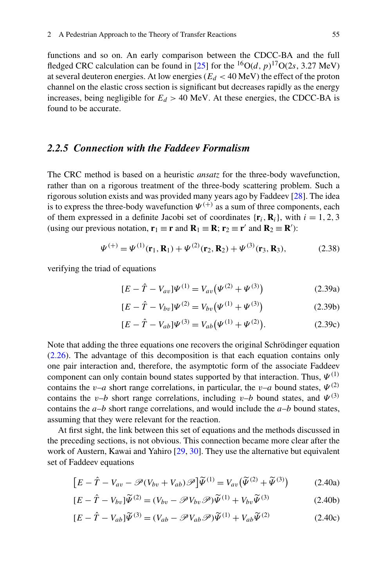functions and so on. An early comparison between the CDCC-BA and the full fledged CRC calculation can be found in [\[25](#page-26-1)] for the  ${}^{16}O(d, p)$ <sup>17</sup> $O(2s, 3.27 \text{ MeV})$ at several deuteron energies. At low energies ( $E_d$  < 40 MeV) the effect of the proton channel on the elastic cross section is significant but decreases rapidly as the energy increases, being negligible for  $E_d > 40$  MeV. At these energies, the CDCC-BA is found to be accurate.

# *2.2.5 Connection with the Faddeev Formalism*

The CRC method is based on a heuristic *ansatz* for the three-body wavefunction, rather than on a rigorous treatment of the three-body scattering problem. Such a rigorous solution exists and was provided many years ago by Faddeev [\[28](#page-26-3)]. The idea is to express the three-body wavefunction  $\Psi^{(+)}$  as a sum of three components, each of them expressed in a definite Jacobi set of coordinates  $\{r_i, R_i\}$ , with  $i = 1, 2, 3$ (using our previous notation,  $\mathbf{r}_1 \equiv \mathbf{r}$  and  $\mathbf{R}_1 \equiv \mathbf{R}$ ;  $\mathbf{r}_2 \equiv \mathbf{r}'$  and  $\mathbf{R}_2 \equiv \mathbf{R}'$ ):

$$
\Psi^{(+)} = \Psi^{(1)}(\mathbf{r}_1, \mathbf{R}_1) + \Psi^{(2)}(\mathbf{r}_2, \mathbf{R}_2) + \Psi^{(3)}(\mathbf{r}_3, \mathbf{R}_3),
$$
 (2.38)

verifying the triad of equations

$$
[E - \hat{T} - V_{av}] \Psi^{(1)} = V_{av} (\Psi^{(2)} + \Psi^{(3)})
$$
 (2.39a)

$$
[E - \hat{T} - V_{bv}]\Psi^{(2)} = V_{bv}(\Psi^{(1)} + \Psi^{(3)})
$$
\n(2.39b)

<span id="page-16-1"></span><span id="page-16-0"></span>
$$
[E - \hat{T} - V_{ab}]\Psi^{(3)} = V_{ab}(\Psi^{(1)} + \Psi^{(2)}).
$$
 (2.39c)

Note that adding the three equations one recovers the original Schrödinger equation [\(2.26\)](#page-12-0). The advantage of this decomposition is that each equation contains only one pair interaction and, therefore, the asymptotic form of the associate Faddeev component can only contain bound states supported by that interaction. Thus,  $\Psi^{(1)}$ contains the *v*–*a* short range correlations, in particular, the *v*–*a* bound states,  $\Psi^{(2)}$ contains the *v–b* short range correlations, including *v–b* bound states, and  $\Psi^{(3)}$ contains the  $a-b$  short range correlations, and would include the  $a-b$  bound states, assuming that they were relevant for the reaction.

At first sight, the link between this set of equations and the methods discussed in the preceding sections, is not obvious. This connection became more clear after the work of Austern, Kawai and Yahiro [\[29](#page-26-4), [30\]](#page-26-5). They use the alternative but equivalent set of Faddeev equations

$$
\left[E - \hat{T} - V_{av} - \mathcal{P}(V_{bv} + V_{ab})\mathcal{P}\right]\tilde{\Psi}^{(1)} = V_{av}\left(\tilde{\Psi}^{(2)} + \tilde{\Psi}^{(3)}\right)
$$
(2.40a)

$$
[E - \hat{T} - V_{bv}]\widetilde{\Psi}^{(2)} = (V_{bv} - \mathscr{P}V_{bv}\mathscr{P})\widetilde{\Psi}^{(1)} + V_{bv}\widetilde{\Psi}^{(3)}
$$
(2.40b)

$$
[E - \hat{T} - V_{ab}]\tilde{\Psi}^{(3)} = (V_{ab} - \mathcal{P}V_{ab}\mathcal{P})\tilde{\Psi}^{(1)} + V_{ab}\tilde{\Psi}^{(2)}
$$
(2.40c)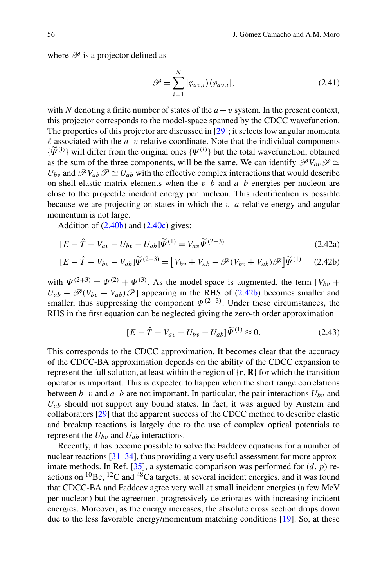where  $\mathscr P$  is a projector defined as

<span id="page-17-0"></span>
$$
\mathcal{P} = \sum_{i=1}^{N} |\varphi_{av,i}\rangle \langle \varphi_{av,i}|, \qquad (2.41)
$$

with N denoting a finite number of states of the  $a + v$  system. In the present context, this projector corresponds to the model-space spanned by the CDCC wavefunction. The properties of this projector are discussed in [\[29](#page-26-4)]; it selects low angular momenta  $\ell$  associated with the  $a-v$  relative coordinate. Note that the individual components  ${\{\widetilde{\Psi}^{(i)}\}}$  will differ from the original ones  ${\{\Psi^{(i)}\}}$  but the total wavefunction, obtained as the sum of the three components, will be the same. We can identify  $\mathscr{P}V_{bv}\mathscr{P} \simeq$  $U_{b\nu}$  and  $\mathscr{P}V_{ab}\mathscr{P} \simeq U_{ab}$  with the effective complex interactions that would describe on-shell elastic matrix elements when the *v*–*b* and *a*–*b* energies per nucleon are close to the projectile incident energy per nucleon. This identification is possible because we are projecting on states in which the  $v-a$  relative energy and angular momentum is not large.

Addition of ([2.40b](#page-16-0)) and [\(2.40c](#page-16-1)) gives:

$$
[E - \hat{T} - V_{av} - U_{bv} - U_{ab}]\tilde{\Psi}^{(1)} = V_{av}\tilde{\Psi}^{(2+3)}
$$
\n(2.42a)

$$
[E - \hat{T} - V_{bv} - V_{ab}]\tilde{\Psi}^{(2+3)} = [V_{bv} + V_{ab} - \mathcal{P}(V_{bv} + V_{ab})\mathcal{P}]\tilde{\Psi}^{(1)} \qquad (2.42b)
$$

with  $\Psi^{(2+3)} \equiv \Psi^{(2)} + \Psi^{(3)}$ . As the model-space is augmented, the term  $[V_{bv} +$  $U_{ab} - \mathcal{P}(V_{bv} + V_{ab})\mathcal{P}$ ] appearing in the RHS of ([2.42b](#page-17-0)) becomes smaller and smaller, thus suppressing the component  $\Psi^{(2+3)}$ . Under these circumstances, the RHS in the first equation can be neglected giving the zero-th order approximation

<span id="page-17-1"></span>
$$
[E - \hat{T} - V_{av} - U_{bv} - U_{ab}]\tilde{\Psi}^{(1)} \approx 0. \tag{2.43}
$$

This corresponds to the CDCC approximation. It becomes clear that the accuracy of the CDCC-BA approximation depends on the ability of the CDCC expansion to represent the full solution, at least within the region of  $\{r, R\}$  for which the transition operator is important. This is expected to happen when the short range correlations between *b*–*v* and *a*–*b* are not important. In particular, the pair interactions  $U_{bv}$  and *Uab* should not support any bound states. In fact, it was argued by Austern and collaborators [\[29](#page-26-4)] that the apparent success of the CDCC method to describe elastic and breakup reactions is largely due to the use of complex optical potentials to represent the *Ubv* and *Uab* interactions.

Recently, it has become possible to solve the Faddeev equations for a number of nuclear reactions [[31–](#page-26-6)[34\]](#page-26-7), thus providing a very useful assessment for more approximate methods. In Ref. [\[35](#page-26-8)], a systematic comparison was performed for *(d,p)* reactions on 10Be, 12C and 48Ca targets, at several incident energies, and it was found that CDCC-BA and Faddeev agree very well at small incident energies (a few MeV per nucleon) but the agreement progressively deteriorates with increasing incident energies. Moreover, as the energy increases, the absolute cross section drops down due to the less favorable energy/momentum matching conditions [\[19](#page-25-13)]. So, at these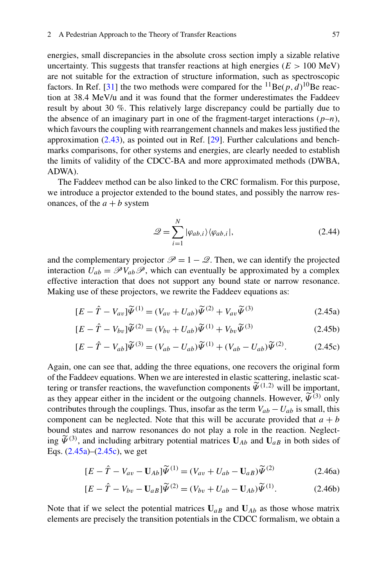energies, small discrepancies in the absolute cross section imply a sizable relative uncertainty. This suggests that transfer reactions at high energies  $(E > 100 \text{ MeV})$ are not suitable for the extraction of structure information, such as spectroscopic factors. In Ref. [[31](#page-26-6)] the two methods were compared for the  ${}^{11}$ Be( $p$ ,  $d$ )<sup>10</sup>Be reaction at 38.4 MeV/u and it was found that the former underestimates the Faddeev result by about 30 %. This relatively large discrepancy could be partially due to the absence of an imaginary part in one of the fragment-target interactions  $(p-n)$ , which favours the coupling with rearrangement channels and makes less justified the approximation [\(2.43\)](#page-17-1), as pointed out in Ref. [[29\]](#page-26-4). Further calculations and benchmarks comparisons, for other systems and energies, are clearly needed to establish the limits of validity of the CDCC-BA and more approximated methods (DWBA, ADWA).

The Faddeev method can be also linked to the CRC formalism. For this purpose, we introduce a projector extended to the bound states, and possibly the narrow resonances, of the  $a + b$  system

<span id="page-18-1"></span><span id="page-18-0"></span>
$$
\mathcal{Q} = \sum_{i=1}^{N} |\varphi_{ab,i}\rangle \langle \varphi_{ab,i}|,\tag{2.44}
$$

and the complementary projector  $\mathcal{P} = 1 - \mathcal{Q}$ . Then, we can identify the projected interaction  $U_{ab} = \mathscr{P}V_{ab}\mathscr{P}$ , which can eventually be approximated by a complex effective interaction that does not support any bound state or narrow resonance. Making use of these projectors, we rewrite the Faddeev equations as:

$$
[E - \hat{T} - V_{av}]\widetilde{\Psi}^{(1)} = (V_{av} + U_{ab})\widetilde{\Psi}^{(2)} + V_{av}\widetilde{\Psi}^{(3)}
$$
(2.45a)

$$
[E - \hat{T} - V_{bv}]\widetilde{\Psi}^{(2)} = (V_{bv} + U_{ab})\widetilde{\Psi}^{(1)} + V_{bv}\widetilde{\Psi}^{(3)}
$$
(2.45b)

$$
[E - \hat{T} - V_{ab}]\widetilde{\Psi}^{(3)} = (V_{ab} - U_{ab})\widetilde{\Psi}^{(1)} + (V_{ab} - U_{ab})\widetilde{\Psi}^{(2)}.
$$
 (2.45c)

Again, one can see that, adding the three equations, one recovers the original form of the Faddeev equations. When we are interested in elastic scattering, inelastic scattering or transfer reactions, the wavefunction components  $\widetilde{\Psi}^{(1,2)}$  will be important, as they appear either in the incident or the outgoing channels. However,  $\widetilde{\Psi}^{(3)}$  only contributes through the couplings. Thus insector as the term  $V_{\text{tot}}$ ,  $U_{\text{tot}}$  is small, this contributes through the couplings. Thus, insofar as the term  $V_{ab} - U_{ab}$  is small, this component can be neglected. Note that this will be accurate provided that  $a + b$ bound states and narrow resonances do not play a role in the reaction. Neglecting  $\widetilde{\Psi}^{(3)}$ , and including arbitrary potential matrices  $U_{Ab}$  and  $U_{aB}$  in both sides of Eqs. [\(2.45a\)](#page-18-0)–([2.45c](#page-18-1)), we get

$$
[E - \hat{T} - V_{av} - U_{Ab}] \widetilde{\Psi}^{(1)} = (V_{av} + U_{ab} - U_{aB}) \widetilde{\Psi}^{(2)}
$$
(2.46a)

$$
[E - \hat{T} - V_{bv} - \mathbf{U}_{aB}]\tilde{\Psi}^{(2)} = (V_{bv} + U_{ab} - \mathbf{U}_{Ab})\tilde{\Psi}^{(1)}.
$$
 (2.46b)

Note that if we select the potential matrices  $U_{aB}$  and  $U_{Ab}$  as those whose matrix elements are precisely the transition potentials in the CDCC formalism, we obtain a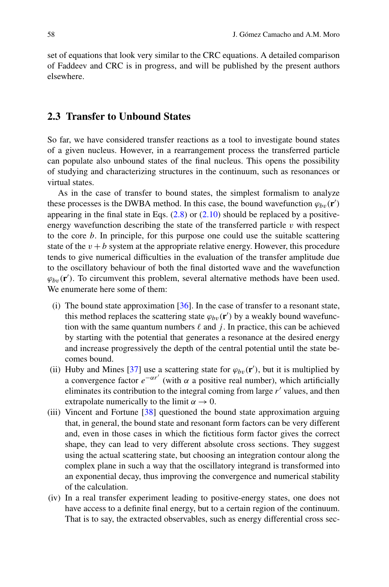set of equations that look very similar to the CRC equations. A detailed comparison of Faddeev and CRC is in progress, and will be published by the present authors elsewhere.

## **2.3 Transfer to Unbound States**

So far, we have considered transfer reactions as a tool to investigate bound states of a given nucleus. However, in a rearrangement process the transferred particle can populate also unbound states of the final nucleus. This opens the possibility of studying and characterizing structures in the continuum, such as resonances or virtual states.

As in the case of transfer to bound states, the simplest formalism to analyze these processes is the DWBA method. In this case, the bound wavefunction  $\varphi_{bv}(\mathbf{r}')$ appearing in the final state in Eqs.  $(2.8)$  $(2.8)$  $(2.8)$  or  $(2.10)$  $(2.10)$  $(2.10)$  should be replaced by a positiveenergy wavefunction describing the state of the transferred particle *v* with respect to the core *b*. In principle, for this purpose one could use the suitable scattering state of the  $v + b$  system at the appropriate relative energy. However, this procedure tends to give numerical difficulties in the evaluation of the transfer amplitude due to the oscillatory behaviour of both the final distorted wave and the wavefunction  $\varphi_{bv}(\mathbf{r}')$ . To circumvent this problem, several alternative methods have been used. We enumerate here some of them:

- (i) The bound state approximation [[36\]](#page-26-9). In the case of transfer to a resonant state, this method replaces the scattering state  $\varphi_{bv}(\mathbf{r}')$  by a weakly bound wavefunction with the same quantum numbers  $\ell$  and  $j$ . In practice, this can be achieved by starting with the potential that generates a resonance at the desired energy and increase progressively the depth of the central potential until the state becomes bound.
- (ii) Huby and Mines [\[37](#page-26-10)] use a scattering state for  $\varphi_{bv}(\mathbf{r}')$ , but it is multiplied by a convergence factor  $e^{-\alpha r'}$  (with  $\alpha$  a positive real number), which artificially eliminates its contribution to the integral coming from large  $r'$  values, and then extrapolate numerically to the limit  $\alpha \to 0$ .
- (iii) Vincent and Fortune [[38\]](#page-26-11) questioned the bound state approximation arguing that, in general, the bound state and resonant form factors can be very different and, even in those cases in which the fictitious form factor gives the correct shape, they can lead to very different absolute cross sections. They suggest using the actual scattering state, but choosing an integration contour along the complex plane in such a way that the oscillatory integrand is transformed into an exponential decay, thus improving the convergence and numerical stability of the calculation.
- (iv) In a real transfer experiment leading to positive-energy states, one does not have access to a definite final energy, but to a certain region of the continuum. That is to say, the extracted observables, such as energy differential cross sec-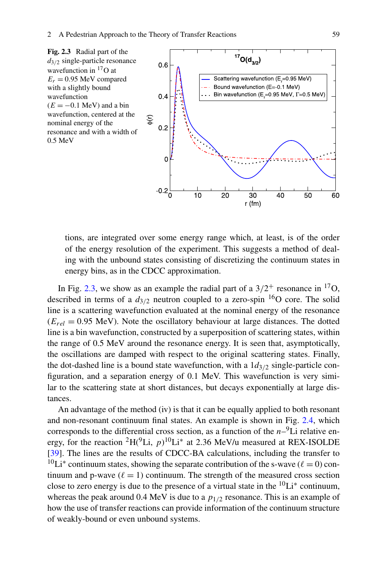<span id="page-20-0"></span>

tions, are integrated over some energy range which, at least, is of the order of the energy resolution of the experiment. This suggests a method of dealing with the unbound states consisting of discretizing the continuum states in energy bins, as in the CDCC approximation.

In Fig. [2.3](#page-20-0), we show as an example the radial part of a  $3/2^{+}$  resonance in <sup>17</sup>O, described in terms of a  $d_{3/2}$  neutron coupled to a zero-spin <sup>16</sup>O core. The solid line is a scattering wavefunction evaluated at the nominal energy of the resonance  $(E_{rel} = 0.95 \text{ MeV})$ . Note the oscillatory behaviour at large distances. The dotted line is a bin wavefunction, constructed by a superposition of scattering states, within the range of 0.5 MeV around the resonance energy. It is seen that, asymptotically, the oscillations are damped with respect to the original scattering states. Finally, the dot-dashed line is a bound state wavefunction, with a  $1d_{3/2}$  single-particle configuration, and a separation energy of 0.1 MeV. This wavefunction is very similar to the scattering state at short distances, but decays exponentially at large distances.

An advantage of the method (iv) is that it can be equally applied to both resonant and non-resonant continuum final states. An example is shown in Fig. [2.4](#page-21-0), which corresponds to the differential cross section, as a function of the  $n^{-9}$ Li relative energy, for the reaction <sup>2</sup>H(<sup>9</sup>Li,  $p$ )<sup>10</sup>Li<sup>\*</sup> at 2.36 MeV/u measured at REX-ISOLDE [\[39](#page-26-12)]. The lines are the results of CDCC-BA calculations, including the transfer to  $10Li^*$  continuum states, showing the separate contribution of the s-wave ( $\ell = 0$ ) continuum and p-wave ( $\ell = 1$ ) continuum. The strength of the measured cross section close to zero energy is due to the presence of a virtual state in the  ${}^{10}Li^*$  continuum, whereas the peak around 0.4 MeV is due to a  $p_{1/2}$  resonance. This is an example of how the use of transfer reactions can provide information of the continuum structure of weakly-bound or even unbound systems.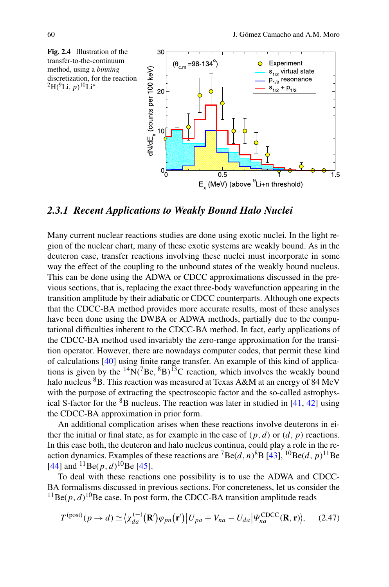<span id="page-21-0"></span>

# *2.3.1 Recent Applications to Weakly Bound Halo Nuclei*

Many current nuclear reactions studies are done using exotic nuclei. In the light region of the nuclear chart, many of these exotic systems are weakly bound. As in the deuteron case, transfer reactions involving these nuclei must incorporate in some way the effect of the coupling to the unbound states of the weakly bound nucleus. This can be done using the ADWA or CDCC approximations discussed in the previous sections, that is, replacing the exact three-body wavefunction appearing in the transition amplitude by their adiabatic or CDCC counterparts. Although one expects that the CDCC-BA method provides more accurate results, most of these analyses have been done using the DWBA or ADWA methods, partially due to the computational difficulties inherent to the CDCC-BA method. In fact, early applications of the CDCC-BA method used invariably the zero-range approximation for the transition operator. However, there are nowadays computer codes, that permit these kind of calculations [[40\]](#page-26-13) using finite range transfer. An example of this kind of applications is given by the  ${}^{14}N(^{7}Be, {}^{8}B)^{13}C$  reaction, which involves the weakly bound halo nucleus  ${}^{8}B$ . This reaction was measured at Texas A&M at an energy of 84 MeV with the purpose of extracting the spectroscopic factor and the so-called astrophysical S-factor for the  ${}^{8}B$  nucleus. The reaction was later in studied in [[41,](#page-26-14) [42\]](#page-26-15) using the CDCC-BA approximation in prior form.

An additional complication arises when these reactions involve deuterons in either the initial or final state, as for example in the case of  $(p, d)$  or  $(d, p)$  reactions. In this case both, the deuteron and halo nucleus continua, could play a role in the reaction dynamics. Examples of these reactions are <sup>7</sup>Be(*d*, *n*)<sup>8</sup>B [\[43](#page-26-16)], <sup>10</sup>Be(*d*, *p*)<sup>11</sup>Be [\[44](#page-26-17)] and <sup>11</sup>Be( $p$ ,  $d$ )<sup>10</sup>Be [[45\]](#page-26-18).

To deal with these reactions one possibility is to use the ADWA and CDCC-BA formalisms discussed in previous sections. For concreteness, let us consider the  $11Be(p, d)$ <sup>10</sup>Be case. In post form, the CDCC-BA transition amplitude reads

$$
T^{(\text{post})}(p \to d) \simeq \langle \chi_{da}^{(-)}(\mathbf{R}')\varphi_{pn}(\mathbf{r}') | U_{pa} + V_{na} - U_{da} | \varphi_{na}^{\text{CDCC}}(\mathbf{R}, \mathbf{r}) \rangle, \qquad (2.47)
$$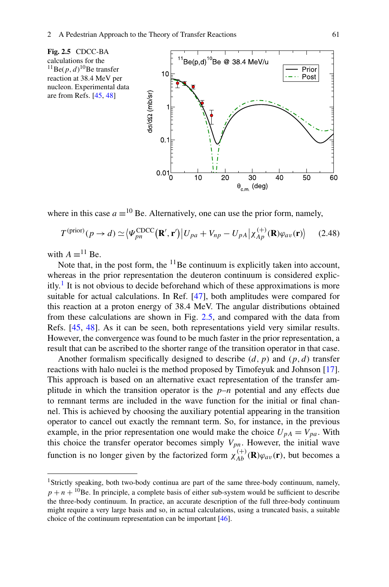<span id="page-22-1"></span>

where in this case  $a \equiv 10$  Be. Alternatively, one can use the prior form, namely,

$$
T^{(\text{prior})}(p \to d) \simeq \left\langle \Psi_{pn}^{\text{CDCC}}(\mathbf{R}', \mathbf{r}') \middle| U_{pa} + V_{np} - U_{pA} \middle| \chi_{Ap}^{(+)}(\mathbf{R}) \varphi_{av}(\mathbf{r}) \right\rangle \tag{2.48}
$$

with  $A \equiv^{11}$  Be.

Note that, in the post form, the  $11Be$  continuum is explicitly taken into account, whereas in the prior representation the deuteron continuum is considered explic-itly.<sup>[1](#page-22-0)</sup> It is not obvious to decide beforehand which of these approximations is more suitable for actual calculations. In Ref. [\[47](#page-27-1)], both amplitudes were compared for this reaction at a proton energy of 38.4 MeV. The angular distributions obtained from these calculations are shown in Fig. [2.5](#page-22-1), and compared with the data from Refs. [[45](#page-26-18), [48\]](#page-27-0). As it can be seen, both representations yield very similar results. However, the convergence was found to be much faster in the prior representation, a result that can be ascribed to the shorter range of the transition operator in that case.

<span id="page-22-0"></span>Another formalism specifically designed to describe *(d,p)* and *(p,d)* transfer reactions with halo nuclei is the method proposed by Timofeyuk and Johnson [[17\]](#page-25-11). This approach is based on an alternative exact representation of the transfer amplitude in which the transition operator is the  $p-n$  potential and any effects due to remnant terms are included in the wave function for the initial or final channel. This is achieved by choosing the auxiliary potential appearing in the transition operator to cancel out exactly the remnant term. So, for instance, in the previous example, in the prior representation one would make the choice  $U_{pA} = V_{pa}$ . With this choice the transfer operator becomes simply  $V_{pn}$ . However, the initial wave function is no longer given by the factorized form  $\chi_{Ab}^{(+)}(\mathbf{R})\varphi_{av}(\mathbf{r})$ , but becomes a

<sup>&</sup>lt;sup>1</sup>Strictly speaking, both two-body continua are part of the same three-body continuum, namely,  $p + n + 10B$ e. In principle, a complete basis of either sub-system would be sufficient to describe the three-body continuum. In practice, an accurate description of the full three-body continuum might require a very large basis and so, in actual calculations, using a truncated basis, a suitable choice of the continuum representation can be important [[46](#page-27-2)].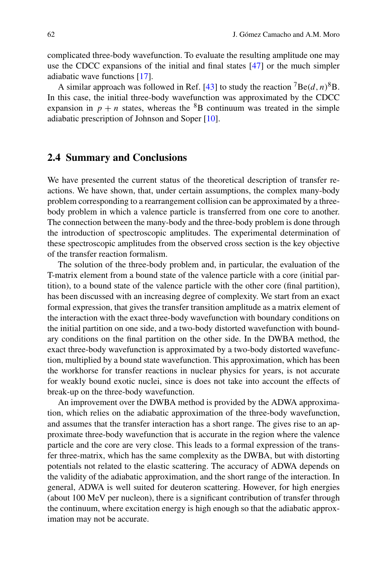complicated three-body wavefunction. To evaluate the resulting amplitude one may use the CDCC expansions of the initial and final states [[47\]](#page-27-1) or the much simpler adiabatic wave functions [\[17](#page-25-11)].

A similar approach was followed in Ref. [[43\]](#page-26-16) to study the reaction  ${}^{7}Be(d, n){}^{8}B$ . In this case, the initial three-body wavefunction was approximated by the CDCC expansion in  $p + n$  states, whereas the <sup>8</sup>B continuum was treated in the simple adiabatic prescription of Johnson and Soper [\[10](#page-25-5)].

## **2.4 Summary and Conclusions**

We have presented the current status of the theoretical description of transfer reactions. We have shown, that, under certain assumptions, the complex many-body problem corresponding to a rearrangement collision can be approximated by a threebody problem in which a valence particle is transferred from one core to another. The connection between the many-body and the three-body problem is done through the introduction of spectroscopic amplitudes. The experimental determination of these spectroscopic amplitudes from the observed cross section is the key objective of the transfer reaction formalism.

The solution of the three-body problem and, in particular, the evaluation of the T-matrix element from a bound state of the valence particle with a core (initial partition), to a bound state of the valence particle with the other core (final partition), has been discussed with an increasing degree of complexity. We start from an exact formal expression, that gives the transfer transition amplitude as a matrix element of the interaction with the exact three-body wavefunction with boundary conditions on the initial partition on one side, and a two-body distorted wavefunction with boundary conditions on the final partition on the other side. In the DWBA method, the exact three-body wavefunction is approximated by a two-body distorted wavefunction, multiplied by a bound state wavefunction. This approximation, which has been the workhorse for transfer reactions in nuclear physics for years, is not accurate for weakly bound exotic nuclei, since is does not take into account the effects of break-up on the three-body wavefunction.

An improvement over the DWBA method is provided by the ADWA approximation, which relies on the adiabatic approximation of the three-body wavefunction, and assumes that the transfer interaction has a short range. The gives rise to an approximate three-body wavefunction that is accurate in the region where the valence particle and the core are very close. This leads to a formal expression of the transfer three-matrix, which has the same complexity as the DWBA, but with distorting potentials not related to the elastic scattering. The accuracy of ADWA depends on the validity of the adiabatic approximation, and the short range of the interaction. In general, ADWA is well suited for deuteron scattering. However, for high energies (about 100 MeV per nucleon), there is a significant contribution of transfer through the continuum, where excitation energy is high enough so that the adiabatic approximation may not be accurate.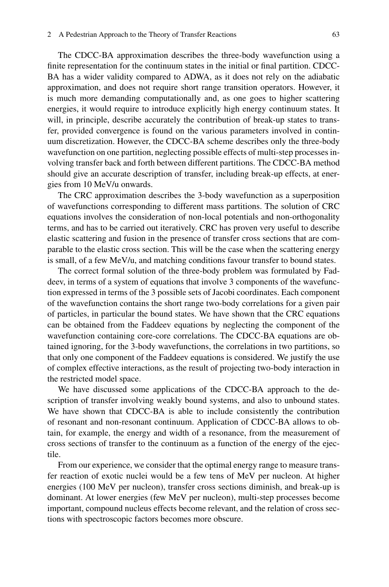The CDCC-BA approximation describes the three-body wavefunction using a finite representation for the continuum states in the initial or final partition. CDCC-BA has a wider validity compared to ADWA, as it does not rely on the adiabatic approximation, and does not require short range transition operators. However, it is much more demanding computationally and, as one goes to higher scattering energies, it would require to introduce explicitly high energy continuum states. It will, in principle, describe accurately the contribution of break-up states to transfer, provided convergence is found on the various parameters involved in continuum discretization. However, the CDCC-BA scheme describes only the three-body wavefunction on one partition, neglecting possible effects of multi-step processes involving transfer back and forth between different partitions. The CDCC-BA method should give an accurate description of transfer, including break-up effects, at energies from 10 MeV/u onwards.

The CRC approximation describes the 3-body wavefunction as a superposition of wavefunctions corresponding to different mass partitions. The solution of CRC equations involves the consideration of non-local potentials and non-orthogonality terms, and has to be carried out iteratively. CRC has proven very useful to describe elastic scattering and fusion in the presence of transfer cross sections that are comparable to the elastic cross section. This will be the case when the scattering energy is small, of a few MeV/u, and matching conditions favour transfer to bound states.

The correct formal solution of the three-body problem was formulated by Faddeev, in terms of a system of equations that involve 3 components of the wavefunction expressed in terms of the 3 possible sets of Jacobi coordinates. Each component of the wavefunction contains the short range two-body correlations for a given pair of particles, in particular the bound states. We have shown that the CRC equations can be obtained from the Faddeev equations by neglecting the component of the wavefunction containing core-core correlations. The CDCC-BA equations are obtained ignoring, for the 3-body wavefunctions, the correlations in two partitions, so that only one component of the Faddeev equations is considered. We justify the use of complex effective interactions, as the result of projecting two-body interaction in the restricted model space.

We have discussed some applications of the CDCC-BA approach to the description of transfer involving weakly bound systems, and also to unbound states. We have shown that CDCC-BA is able to include consistently the contribution of resonant and non-resonant continuum. Application of CDCC-BA allows to obtain, for example, the energy and width of a resonance, from the measurement of cross sections of transfer to the continuum as a function of the energy of the ejectile.

From our experience, we consider that the optimal energy range to measure transfer reaction of exotic nuclei would be a few tens of MeV per nucleon. At higher energies (100 MeV per nucleon), transfer cross sections diminish, and break-up is dominant. At lower energies (few MeV per nucleon), multi-step processes become important, compound nucleus effects become relevant, and the relation of cross sections with spectroscopic factors becomes more obscure.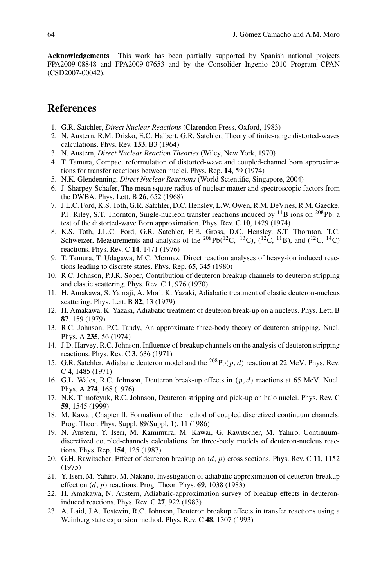<span id="page-25-2"></span><span id="page-25-0"></span>**Acknowledgements** This work has been partially supported by Spanish national projects FPA2009-08848 and FPA2009-07653 and by the Consolider Ingenio 2010 Program CPAN (CSD2007-00042).

### <span id="page-25-3"></span><span id="page-25-1"></span>**References**

- 1. G.R. Satchler, *Direct Nuclear Reactions* (Clarendon Press, Oxford, 1983)
- 2. N. Austern, R.M. Drisko, E.C. Halbert, G.R. Satchler, Theory of finite-range distorted-waves calculations. Phys. Rev. **133**, B3 (1964)
- 3. N. Austern, *Direct Nuclear Reaction Theories* (Wiley, New York, 1970)
- 4. T. Tamura, Compact reformulation of distorted-wave and coupled-channel born approximations for transfer reactions between nuclei. Phys. Rep. **14**, 59 (1974)
- <span id="page-25-4"></span>5. N.K. Glendenning, *Direct Nuclear Reactions* (World Scientific, Singapore, 2004)
- <span id="page-25-5"></span>6. J. Sharpey-Schafer, The mean square radius of nuclear matter and spectroscopic factors from the DWBA. Phys. Lett. B **26**, 652 (1968)
- <span id="page-25-6"></span>7. J.L.C. Ford, K.S. Toth, G.R. Satchler, D.C. Hensley, L.W. Owen, R.M. DeVries, R.M. Gaedke, P.J. Riley, S.T. Thornton, Single-nucleon transfer reactions induced by <sup>11</sup>B ions on <sup>208</sup>Pb: a test of the distorted-wave Born approximation. Phys. Rev. C **10**, 1429 (1974)
- <span id="page-25-7"></span>8. K.S. Toth, J.L.C. Ford, G.R. Satchler, E.E. Gross, D.C. Hensley, S.T. Thornton, T.C. Schweizer, Measurements and analysis of the <sup>208</sup>Pb(<sup>12</sup>C, <sup>13</sup>C), (<sup>12</sup>C, <sup>11</sup>B), and (<sup>12</sup>C, <sup>14</sup>C) reactions. Phys. Rev. C **14**, 1471 (1976)
- <span id="page-25-8"></span>9. T. Tamura, T. Udagawa, M.C. Mermaz, Direct reaction analyses of heavy-ion induced reactions leading to discrete states. Phys. Rep. **65**, 345 (1980)
- <span id="page-25-9"></span>10. R.C. Johnson, P.J.R. Soper, Contribution of deuteron breakup channels to deuteron stripping and elastic scattering. Phys. Rev. C **1**, 976 (1970)
- <span id="page-25-10"></span>11. H. Amakawa, S. Yamaji, A. Mori, K. Yazaki, Adiabatic treatment of elastic deuteron-nucleus scattering. Phys. Lett. B **82**, 13 (1979)
- <span id="page-25-11"></span>12. H. Amakawa, K. Yazaki, Adiabatic treatment of deuteron break-up on a nucleus. Phys. Lett. B **87**, 159 (1979)
- <span id="page-25-12"></span>13. R.C. Johnson, P.C. Tandy, An approximate three-body theory of deuteron stripping. Nucl. Phys. A **235**, 56 (1974)
- <span id="page-25-13"></span>14. J.D. Harvey, R.C. Johnson, Influence of breakup channels on the analysis of deuteron stripping reactions. Phys. Rev. C **3**, 636 (1971)
- 15. G.R. Satchler, Adiabatic deuteron model and the <sup>208</sup>Pb $(p, d)$  reaction at 22 MeV. Phys. Rev. C **4**, 1485 (1971)
- <span id="page-25-14"></span>16. G.L. Wales, R.C. Johnson, Deuteron break-up effects in *(p,d)* reactions at 65 MeV. Nucl. Phys. A **274**, 168 (1976)
- 17. N.K. Timofeyuk, R.C. Johnson, Deuteron stripping and pick-up on halo nuclei. Phys. Rev. C **59**, 1545 (1999)
- <span id="page-25-15"></span>18. M. Kawai, Chapter II. Formalism of the method of coupled discretized continuum channels. Prog. Theor. Phys. Suppl. **89**(Suppl. 1), 11 (1986)
- <span id="page-25-16"></span>19. N. Austern, Y. Iseri, M. Kamimura, M. Kawai, G. Rawitscher, M. Yahiro, Continuumdiscretized coupled-channels calculations for three-body models of deuteron-nucleus reactions. Phys. Rep. **154**, 125 (1987)
- 20. G.H. Rawitscher, Effect of deuteron breakup on *(d,p)* cross sections. Phys. Rev. C **11**, 1152 (1975)
- 21. Y. Iseri, M. Yahiro, M. Nakano, Investigation of adiabatic approximation of deuteron-breakup effect on *(d,p)* reactions. Prog. Theor. Phys. **69**, 1038 (1983)
- 22. H. Amakawa, N. Austern, Adiabatic-approximation survey of breakup effects in deuteroninduced reactions. Phys. Rev. C **27**, 922 (1983)
- 23. A. Laid, J.A. Tostevin, R.C. Johnson, Deuteron breakup effects in transfer reactions using a Weinberg state expansion method. Phys. Rev. C **48**, 1307 (1993)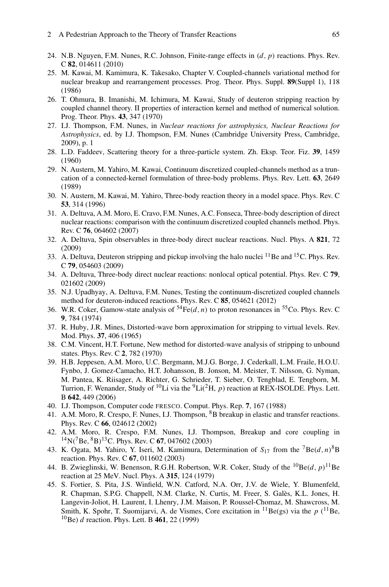- <span id="page-26-2"></span><span id="page-26-1"></span><span id="page-26-0"></span>24. N.B. Nguyen, F.M. Nunes, R.C. Johnson, Finite-range effects in *(d,p)* reactions. Phys. Rev. C **82**, 014611 (2010)
- <span id="page-26-3"></span>25. M. Kawai, M. Kamimura, K. Takesako, Chapter V. Coupled-channels variational method for nuclear breakup and rearrangement processes. Prog. Theor. Phys. Suppl. **89**(Suppl 1), 118 (1986)
- <span id="page-26-4"></span>26. T. Ohmura, B. Imanishi, M. Ichimura, M. Kawai, Study of deuteron stripping reaction by coupled channel theory. II properties of interaction kernel and method of numerical solution. Prog. Theor. Phys. **43**, 347 (1970)
- <span id="page-26-6"></span><span id="page-26-5"></span>27. I.J. Thompson, F.M. Nunes, in *Nuclear reactions for astrophysics, Nuclear Reactions for Astrophysics*, ed. by I.J. Thompson, F.M. Nunes (Cambridge University Press, Cambridge, 2009), p. 1
- 28. L.D. Faddeev, Scattering theory for a three-particle system. Zh. Eksp. Teor. Fiz. **39**, 1459 (1960)
- 29. N. Austern, M. Yahiro, M. Kawai, Continuum discretized coupled-channels method as a truncation of a connected-kernel formulation of three-body problems. Phys. Rev. Lett. **63**, 2649 (1989)
- <span id="page-26-7"></span>30. N. Austern, M. Kawai, M. Yahiro, Three-body reaction theory in a model space. Phys. Rev. C **53**, 314 (1996)
- <span id="page-26-8"></span>31. A. Deltuva, A.M. Moro, E. Cravo, F.M. Nunes, A.C. Fonseca, Three-body description of direct nuclear reactions: comparison with the continuum discretized coupled channels method. Phys. Rev. C **76**, 064602 (2007)
- <span id="page-26-10"></span><span id="page-26-9"></span>32. A. Deltuva, Spin observables in three-body direct nuclear reactions. Nucl. Phys. A **821**, 72 (2009)
- <span id="page-26-11"></span>33. A. Deltuva, Deuteron stripping and pickup involving the halo nuclei  $^{11}$ Be and  $^{15}$ C. Phys. Rev. C **79**, 054603 (2009)
- <span id="page-26-12"></span>34. A. Deltuva, Three-body direct nuclear reactions: nonlocal optical potential. Phys. Rev. C **79**, 021602 (2009)
- 35. N.J. Upadhyay, A. Deltuva, F.M. Nunes, Testing the continuum-discretized coupled channels method for deuteron-induced reactions. Phys. Rev. C **85**, 054621 (2012)
- 36. W.R. Coker, Gamow-state analysis of 54Fe*(d,n)* to proton resonances in 55Co. Phys. Rev. C **9**, 784 (1974)
- <span id="page-26-14"></span><span id="page-26-13"></span>37. R. Huby, J.R. Mines, Distorted-wave born approximation for stripping to virtual levels. Rev. Mod. Phys. **37**, 406 (1965)
- 38. C.M. Vincent, H.T. Fortune, New method for distorted-wave analysis of stripping to unbound states. Phys. Rev. C **2**, 782 (1970)
- <span id="page-26-16"></span><span id="page-26-15"></span>39. H.B. Jeppesen, A.M. Moro, U.C. Bergmann, M.J.G. Borge, J. Cederkall, L.M. Fraile, H.O.U. Fynbo, J. Gomez-Camacho, H.T. Johansson, B. Jonson, M. Meister, T. Nilsson, G. Nyman, M. Pantea, K. Riisager, A. Richter, G. Schrieder, T. Sieber, O. Tengblad, E. Tengborn, M. Turrion, F. Wenander, Study of <sup>10</sup>Li via the <sup>9</sup>Li(<sup>2</sup>H, *p*) reaction at REX-ISOLDE. Phys. Lett. B **642**, 449 (2006)
- <span id="page-26-18"></span><span id="page-26-17"></span>40. I.J. Thompson, Computer code FRESCO. Comput. Phys. Rep. **7**, 167 (1988)
- 41. A.M. Moro, R. Crespo, F. Nunes, I.J. Thompson, 8B breakup in elastic and transfer reactions. Phys. Rev. C **66**, 024612 (2002)
- 42. A.M. Moro, R. Crespo, F.M. Nunes, I.J. Thompson, Breakup and core coupling in 14N*(*7Be*,* 8B*)*13C. Phys. Rev. C **<sup>67</sup>**, 047602 (2003)
- 43. K. Ogata, M. Yahiro, Y. Iseri, M. Kamimura, Determination of *S*<sup>17</sup> from the 7Be*(d,n)*8B reaction. Phys. Rev. C **67**, 011602 (2003)
- 44. B. Zwieglinski, W. Benenson, R.G.H. Robertson, W.R. Coker, Study of the 10Be*(d,p)*11Be reaction at 25 MeV. Nucl. Phys. A **315**, 124 (1979)
- 45. S. Fortier, S. Pita, J.S. Winfield, W.N. Catford, N.A. Orr, J.V. de Wiele, Y. Blumenfeld, R. Chapman, S.P.G. Chappell, N.M. Clarke, N. Curtis, M. Freer, S. Galès, K.L. Jones, H. Langevin-Joliot, H. Laurent, I. Lhenry, J.M. Maison, P. Roussel-Chomaz, M. Shawcross, M. Smith, K. Spohr, T. Suomijarvi, A. de Vismes, Core excitation in <sup>11</sup>Be(gs) via the *p* (<sup>11</sup>Be, <sup>10</sup>Be) *d* reaction. Phys. Lett. B **461**, 22 (1999)